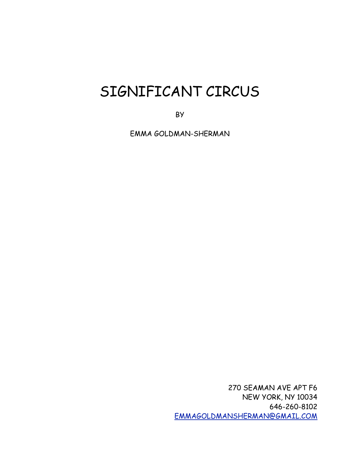# SIGNIFICANT CIRCUS

BY

EMMA GOLDMAN-SHERMAN

270 SEAMAN AVE APT F6 NEW YORK, NY 10034 646-260-8102 [EMMAGOLDMANSHERMAN@GMAIL.COM](mailto:EMMAGOLDMANSHERMAN@GMAIL.COM)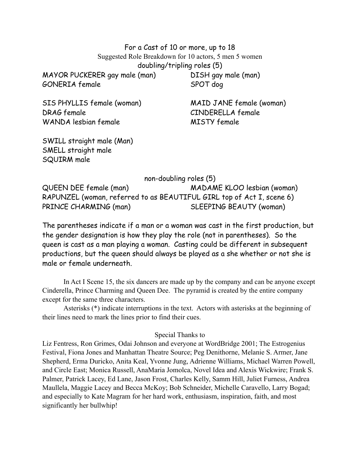For a Cast of 10 or more, up to 18 Suggested Role Breakdown for 10 actors, 5 men 5 women doubling/tripling roles (5)

MAYOR PUCKERER gay male (man) DISH gay male (man) GONERIA female SPOT dog

SIS PHYLLIS female (woman) MAID JANE female (woman) DRAG female CINDERELLA female WANDA lesbian female MISTY female

SWILL straight male (Man) SMELL straight male SQUIRM male

non-doubling roles (5)

QUEEN DEE female (man) MADAME KLOO lesbian (woman) RAPUNZEL (woman, referred to as BEAUTIFUL GIRL top of Act I, scene 6) PRINCE CHARMING (man) SLEEPING BEAUTY (woman)

The parentheses indicate if a man or a woman was cast in the first production, but the gender designation is how they play the role (not in parentheses). So the queen is cast as a man playing a woman. Casting could be different in subsequent productions, but the queen should always be played as a she whether or not she is male or female underneath.

 In Act I Scene 15, the six dancers are made up by the company and can be anyone except Cinderella, Prince Charming and Queen Dee. The pyramid is created by the entire company except for the same three characters.

 Asterisks (\*) indicate interruptions in the text. Actors with asterisks at the beginning of their lines need to mark the lines prior to find their cues.

## Special Thanks to

Liz Fentress, Ron Grimes, Odai Johnson and everyone at WordBridge 2001; The Estrogenius Festival, Fiona Jones and Manhattan Theatre Source; Peg Denithorne, Melanie S. Armer, Jane Shepherd, Erma Duricko, Anita Keal, Yvonne Jung, Adrienne Williams, Michael Warren Powell, and Circle East; Monica Russell, AnaMaria Jomolca, Novel Idea and Alexis Wickwire; Frank S. Palmer, Patrick Lacey, Ed Lane, Jason Frost, Charles Kelly, Samm Hill, Juliet Furness, Andrea Maullela, Maggie Lacey and Becca McKoy; Bob Schneider, Michelle Caravello, Larry Bogad; and especially to Kate Magram for her hard work, enthusiasm, inspiration, faith, and most significantly her bullwhip!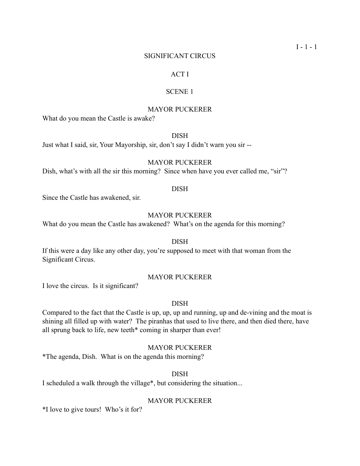#### SIGNIFICANT CIRCUS

## ACT I

## SCENE 1

## MAYOR PUCKERER

What do you mean the Castle is awake?

## DISH

Just what I said, sir, Your Mayorship, sir, don't say I didn't warn you sir --

## MAYOR PUCKERER

Dish, what's with all the sir this morning? Since when have you ever called me, "sir"?

## DISH

Since the Castle has awakened, sir.

## MAYOR PUCKERER

What do you mean the Castle has awakened? What's on the agenda for this morning?

#### DISH

If this were a day like any other day, you're supposed to meet with that woman from the Significant Circus.

#### MAYOR PUCKERER

I love the circus. Is it significant?

#### DISH

Compared to the fact that the Castle is up, up, up and running, up and de-vining and the moat is shining all filled up with water? The piranhas that used to live there, and then died there, have all sprung back to life, new teeth\* coming in sharper than ever!

## MAYOR PUCKERER

\*The agenda, Dish. What is on the agenda this morning?

#### DISH

I scheduled a walk through the village\*, but considering the situation...

#### MAYOR PUCKERER

\*I love to give tours! Who's it for?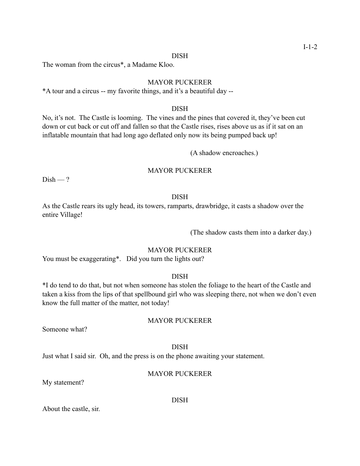#### DISH

The woman from the circus\*, a Madame Kloo.

## MAYOR PUCKERER

\*A tour and a circus -- my favorite things, and it's a beautiful day --

## DISH

No, it's not. The Castle is looming. The vines and the pines that covered it, they've been cut down or cut back or cut off and fallen so that the Castle rises, rises above us as if it sat on an inflatable mountain that had long ago deflated only now its being pumped back up!

(A shadow encroaches.)

#### MAYOR PUCKERER

 $Dish - ?$ 

#### DISH

As the Castle rears its ugly head, its towers, ramparts, drawbridge, it casts a shadow over the entire Village!

(The shadow casts them into a darker day.)

## MAYOR PUCKERER

You must be exaggerating\*. Did you turn the lights out?

## DISH

\*I do tend to do that, but not when someone has stolen the foliage to the heart of the Castle and taken a kiss from the lips of that spellbound girl who was sleeping there, not when we don't even know the full matter of the matter, not today!

## MAYOR PUCKERER

Someone what?

#### DISH

Just what I said sir. Oh, and the press is on the phone awaiting your statement.

## MAYOR PUCKERER

My statement?

DISH

About the castle, sir.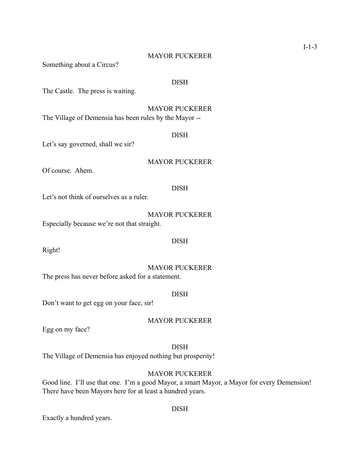## MAYOR PUCKERER

Something about a Circus?

#### DISH

The Castle. The press is waiting.

#### MAYOR PUCKERER

The Village of Demensia has been rules by the Mayor --

#### DISH

Let's say governed, shall we sir?

# MAYOR PUCKERER

Of course. Ahem.

## DISH

Let's not think of ourselves as a ruler.

MAYOR PUCKERER

Especially because we're not that straight.

Right!

#### MAYOR PUCKERER

DISH

The press has never before asked for a statement.

#### DISH

Don't want to get egg on your face, sir!

## MAYOR PUCKERER

Egg on my face?

## DISH

The Village of Demensia has enjoyed nothing but prosperity!

## MAYOR PUCKERER

Good line. I'll use that one. I'm a good Mayor, a smart Mayor, a Mayor for every Demension! There have been Mayors here for at least a hundred years.

Exactly a hundred years.

#### DISH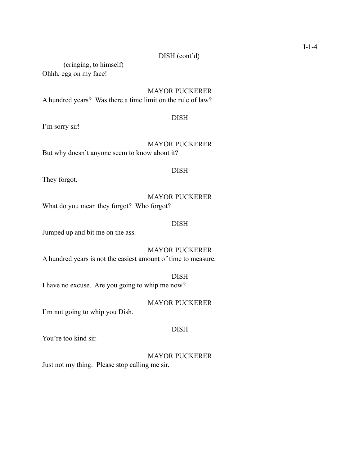# DISH (cont'd)

(cringing, to himself) Ohhh, egg on my face!

MAYOR PUCKERER

A hundred years? Was there a time limit on the rule of law?

## DISH

I'm sorry sir!

# MAYOR PUCKERER

But why doesn't anyone seem to know about it?

## DISH

They forgot.

## MAYOR PUCKERER

What do you mean they forgot? Who forgot?

## DISH

Jumped up and bit me on the ass.

# MAYOR PUCKERER

A hundred years is not the easiest amount of time to measure.

## DISH

I have no excuse. Are you going to whip me now?

## MAYOR PUCKERER

I'm not going to whip you Dish.

## DISH

You're too kind sir.

## MAYOR PUCKERER

Just not my thing. Please stop calling me sir.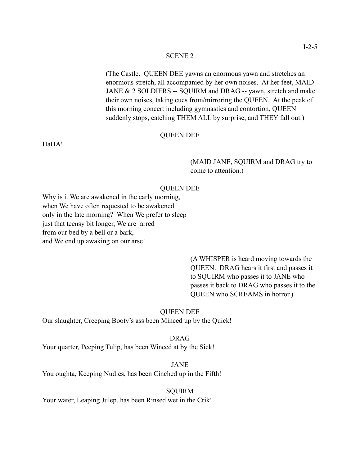(The Castle. QUEEN DEE yawns an enormous yawn and stretches an enormous stretch, all accompanied by her own noises. At her feet, MAID JANE & 2 SOLDIERS -- SQUIRM and DRAG -- yawn, stretch and make their own noises, taking cues from/mirroring the QUEEN. At the peak of this morning concert including gymnastics and contortion, QUEEN suddenly stops, catching THEM ALL by surprise, and THEY fall out.)

#### QUEEN DEE

HaHA!

 (MAID JANE, SQUIRM and DRAG try to come to attention.)

## QUEEN DEE

Why is it We are awakened in the early morning, when We have often requested to be awakened only in the late morning? When We prefer to sleep just that teensy bit longer, We are jarred from our bed by a bell or a bark, and We end up awaking on our arse!

> (A WHISPER is heard moving towards the QUEEN. DRAG hears it first and passes it to SQUIRM who passes it to JANE who passes it back to DRAG who passes it to the QUEEN who SCREAMS in horror.)

#### QUEEN DEE

Our slaughter, Creeping Booty's ass been Minced up by the Quick!

DRAG

Your quarter, Peeping Tulip, has been Winced at by the Sick!

JANE

You oughta, Keeping Nudies, has been Cinched up in the Fifth!

#### SQUIRM

Your water, Leaping Julep, has been Rinsed wet in the Crik!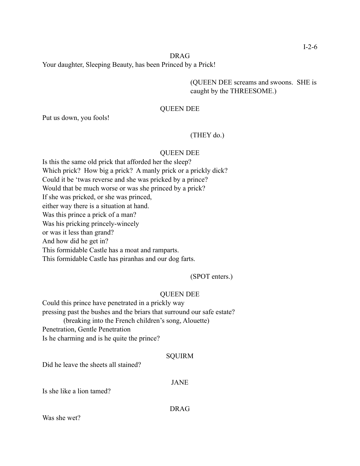## DRAG

Your daughter, Sleeping Beauty, has been Princed by a Prick!

 (QUEEN DEE screams and swoons. SHE is caught by the THREESOME.)

#### QUEEN DEE

Put us down, you fools!

## (THEY do.)

#### QUEEN DEE

Is this the same old prick that afforded her the sleep? Which prick? How big a prick? A manly prick or a prickly dick? Could it be 'twas reverse and she was pricked by a prince? Would that be much worse or was she princed by a prick? If she was pricked, or she was princed, either way there is a situation at hand. Was this prince a prick of a man? Was his pricking princely-wincely or was it less than grand? And how did he get in? This formidable Castle has a moat and ramparts. This formidable Castle has piranhas and our dog farts.

## (SPOT enters.)

#### QUEEN DEE

Could this prince have penetrated in a prickly way pressing past the bushes and the briars that surround our safe estate? (breaking into the French children's song, Alouette) Penetration, Gentle Penetration Is he charming and is he quite the prince?

#### SQUIRM

Did he leave the sheets all stained?

#### JANE

Is she like a lion tamed?

DRAG

Was she wet?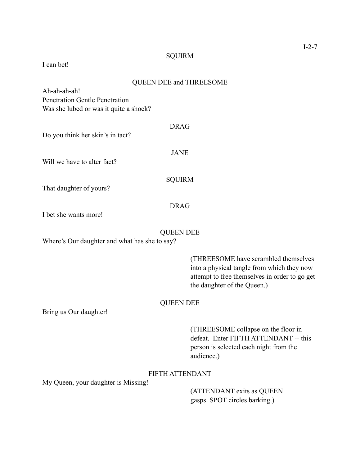## **SQUIRM**

I can bet!

# QUEEN DEE and THREESOME

Ah-ah-ah-ah! Penetration Gentle Penetration Was she lubed or was it quite a shock?

Do you think her skin's in tact?

Will we have to alter fact?

JANE

DRAG

SQUIRM

That daughter of yours?

## DRAG

I bet she wants more!

## QUEEN DEE

Where's Our daughter and what has she to say?

 (THREESOME have scrambled themselves into a physical tangle from which they now attempt to free themselves in order to go get the daughter of the Queen.)

## QUEEN DEE

Bring us Our daughter!

 (THREESOME collapse on the floor in defeat. Enter FIFTH ATTENDANT -- this person is selected each night from the audience.)

# FIFTH ATTENDANT

My Queen, your daughter is Missing!

 (ATTENDANT exits as QUEEN gasps. SPOT circles barking.)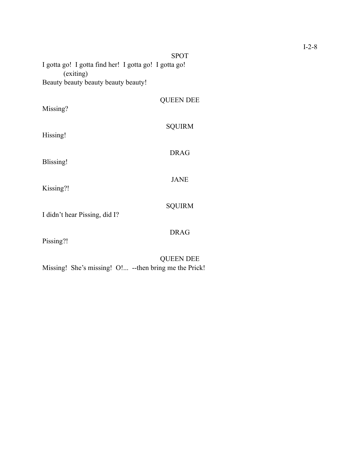|                                                                    | <b>SPOT</b>      |
|--------------------------------------------------------------------|------------------|
| I gotta go! I gotta find her! I gotta go! I gotta go!<br>(exiting) |                  |
| Beauty beauty beauty beauty beauty!                                |                  |
| Missing?                                                           | <b>QUEEN DEE</b> |
| Hissing!                                                           | <b>SQUIRM</b>    |
| <b>Blissing!</b>                                                   | <b>DRAG</b>      |
| Kissing?!                                                          | <b>JANE</b>      |
| I didn't hear Pissing, did I?                                      | <b>SQUIRM</b>    |
|                                                                    | <b>DRAG</b>      |
| Pissing?!                                                          | <b>OUEEN DEE</b> |

Missing! She's missing! O!... --then bring me the Prick!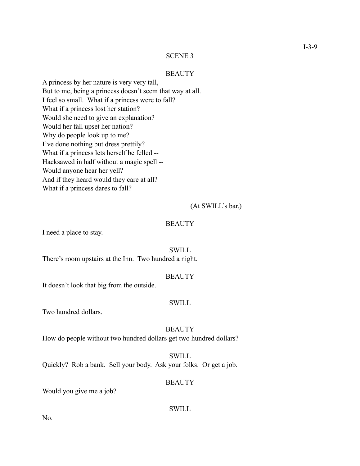#### **BEAUTY**

A princess by her nature is very very tall, But to me, being a princess doesn't seem that way at all. I feel so small. What if a princess were to fall? What if a princess lost her station? Would she need to give an explanation? Would her fall upset her nation? Why do people look up to me? I've done nothing but dress prettily? What if a princess lets herself be felled -- Hacksawed in half without a magic spell -- Would anyone hear her yell? And if they heard would they care at all? What if a princess dares to fall?

#### (At SWILL's bar.)

#### **BEAUTY**

I need a place to stay.

#### SWILL

There's room upstairs at the Inn. Two hundred a night.

#### **BEAUTY**

It doesn't look that big from the outside.

#### SWILL

Two hundred dollars.

#### **BEAUTY**

How do people without two hundred dollars get two hundred dollars?

## SWILL

Quickly? Rob a bank. Sell your body. Ask your folks. Or get a job.

#### **BEAUTY**

Would you give me a job?

#### SWILL

No.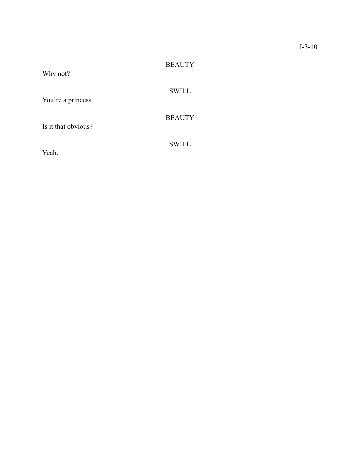| Why not?            | <b>BEAUTY</b> |
|---------------------|---------------|
| You're a princess.  | <b>SWILL</b>  |
| Is it that obvious? | <b>BEAUTY</b> |
| Yeah.               | <b>SWILL</b>  |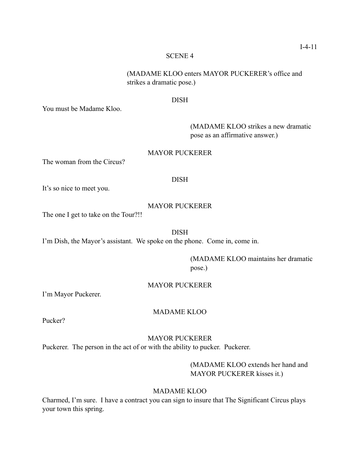(MADAME KLOO enters MAYOR PUCKERER's office and strikes a dramatic pose.)

## DISH

You must be Madame Kloo.

 (MADAME KLOO strikes a new dramatic pose as an affirmative answer.)

## MAYOR PUCKERER

The woman from the Circus?

## DISH

It's so nice to meet you.

## MAYOR PUCKERER

The one I get to take on the Tour?!!

## DISH

I'm Dish, the Mayor's assistant. We spoke on the phone. Come in, come in.

 (MADAME KLOO maintains her dramatic pose.)

## MAYOR PUCKERER

I'm Mayor Puckerer.

## MADAME KLOO

Pucker?

## MAYOR PUCKERER

Puckerer. The person in the act of or with the ability to pucker. Puckerer.

 (MADAME KLOO extends her hand and MAYOR PUCKERER kisses it.)

## MADAME KLOO

Charmed, I'm sure. I have a contract you can sign to insure that The Significant Circus plays your town this spring.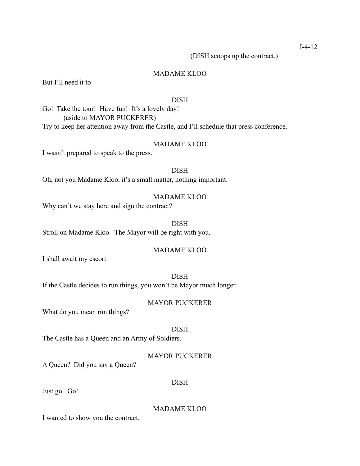I-4-12

(DISH scoops up the contract.)

## MADAME KLOO

But I'll need it to --

#### DISH

Go! Take the tour! Have fun! It's a lovely day! (aside to MAYOR PUCKERER) Try to keep her attention away from the Castle, and I'll schedule that press conference.

#### MADAME KLOO

I wasn't prepared to speak to the press.

## DISH

Oh, not you Madame Kloo, it's a small matter, nothing important.

#### MADAME KLOO

Why can't we stay here and sign the contract?

DISH Stroll on Madame Kloo. The Mayor will be right with you.

## MADAME KLOO

I shall await my escort.

## DISH

If the Castle decides to run things, you won't be Mayor much longer.

#### MAYOR PUCKERER

What do you mean run things?

#### DISH

The Castle has a Queen and an Army of Soldiers.

## MAYOR PUCKERER

A Queen? Did you say a Queen?

#### DISH

Just go. Go!

## MADAME KLOO

I wanted to show you the contract.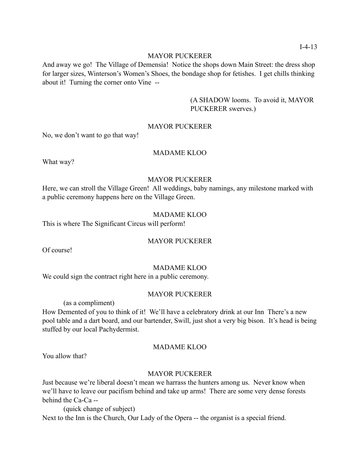## MAYOR PUCKERER

And away we go! The Village of Demensia! Notice the shops down Main Street: the dress shop for larger sizes, Winterson's Women's Shoes, the bondage shop for fetishes. I get chills thinking about it! Turning the corner onto Vine --

> (A SHADOW looms. To avoid it, MAYOR PUCKERER swerves.)

## MAYOR PUCKERER

No, we don't want to go that way!

## MADAME KLOO

What way?

## MAYOR PUCKERER

Here, we can stroll the Village Green! All weddings, baby namings, any milestone marked with a public ceremony happens here on the Village Green.

MADAME KLOO

This is where The Significant Circus will perform!

## MAYOR PUCKERER

Of course!

### MADAME KLOO

We could sign the contract right here in a public ceremony.

#### MAYOR PUCKERER

(as a compliment)

How Demented of you to think of it! We'll have a celebratory drink at our Inn There's a new pool table and a dart board, and our bartender, Swill, just shot a very big bison. It's head is being stuffed by our local Pachydermist.

# MADAME KLOO

You allow that?

## MAYOR PUCKERER

Just because we're liberal doesn't mean we harrass the hunters among us. Never know when we'll have to leave our pacifism behind and take up arms! There are some very dense forests behind the Ca-Ca --

(quick change of subject)

Next to the Inn is the Church, Our Lady of the Opera -- the organist is a special friend.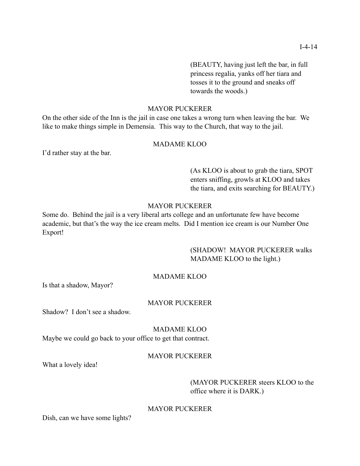(BEAUTY, having just left the bar, in full princess regalia, yanks off her tiara and tosses it to the ground and sneaks off towards the woods.)

## MAYOR PUCKERER

On the other side of the Inn is the jail in case one takes a wrong turn when leaving the bar. We like to make things simple in Demensia. This way to the Church, that way to the jail.

## MADAME KLOO

I'd rather stay at the bar.

 (As KLOO is about to grab the tiara, SPOT enters sniffing, growls at KLOO and takes the tiara, and exits searching for BEAUTY.)

## MAYOR PUCKERER

Some do. Behind the jail is a very liberal arts college and an unfortunate few have become academic, but that's the way the ice cream melts. Did I mention ice cream is our Number One Export!

# (SHADOW! MAYOR PUCKERER walks MADAME KLOO to the light.)

## MADAME KLOO

Is that a shadow, Mayor?

## MAYOR PUCKERER

Shadow? I don't see a shadow.

#### MADAME KLOO

Maybe we could go back to your office to get that contract.

# MAYOR PUCKERER

What a lovely idea!

## (MAYOR PUCKERER steers KLOO to the office where it is DARK.)

## MAYOR PUCKERER

Dish, can we have some lights?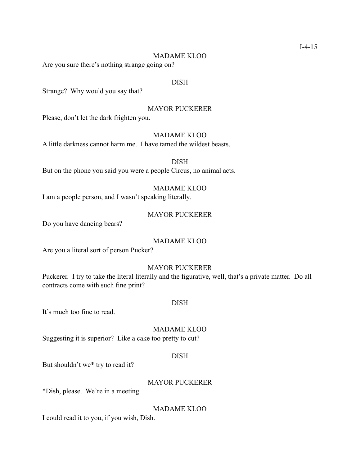#### MADAME KLOO

Are you sure there's nothing strange going on?

#### DISH

Strange? Why would you say that?

#### MAYOR PUCKERER

Please, don't let the dark frighten you.

#### MADAME KLOO

A little darkness cannot harm me. I have tamed the wildest beasts.

DISH But on the phone you said you were a people Circus, no animal acts.

## MADAME KLOO

I am a people person, and I wasn't speaking literally.

#### MAYOR PUCKERER

Do you have dancing bears?

#### MADAME KLOO

Are you a literal sort of person Pucker?

#### MAYOR PUCKERER

Puckerer. I try to take the literal literally and the figurative, well, that's a private matter. Do all contracts come with such fine print?

#### DISH

It's much too fine to read.

MADAME KLOO

Suggesting it is superior? Like a cake too pretty to cut?

## DISH

But shouldn't we\* try to read it?

## MAYOR PUCKERER

\*Dish, please. We're in a meeting.

MADAME KLOO

I could read it to you, if you wish, Dish.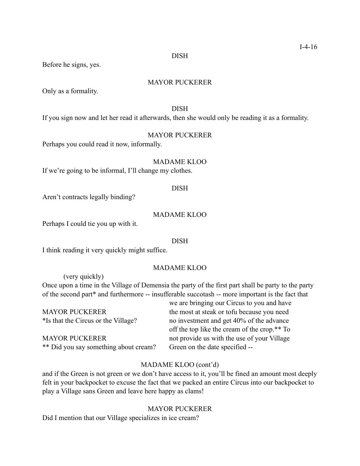DISH

Before he signs, yes.

## MAYOR PUCKERER

Only as a formality.

DISH

If you sign now and let her read it afterwards, then she would only be reading it as a formality.

MAYOR PUCKERER

Perhaps you could read it now, informally.

MADAME KLOO

If we're going to be informal, I'll change my clothes.

## DISH

Aren't contracts legally binding?

## MADAME KLOO

Perhaps I could tie you up with it.

#### DISH

I think reading it very quickly might suffice.

### MADAME KLOO

 (very quickly) Once upon a time in the Village of Demensia the party of the first part shall be party to the party of the second part\* and furthermore -- insufferable succotash -- more important is the fact that

|                                       | we are bringing our Circus to you and have   |
|---------------------------------------|----------------------------------------------|
| <b>MAYOR PUCKERER</b>                 | the most at steak or tofu because you need   |
| *Is that the Circus or the Village?   | no investment and get 40% of the advance     |
|                                       | off the top like the cream of the crop.** To |
| <b>MAYOR PUCKERER</b>                 | not provide us with the use of your Village  |
| ** Did you say something about cream? | Green on the date specified --               |

## MADAME KLOO (cont'd)

and if the Green is not green or we don't have access to it, you'll be fined an amount most deeply felt in your backpocket to excuse the fact that we packed an entire Circus into our backpocket to play a Village sans Green and leave here happy as clams!

## MAYOR PUCKERER

Did I mention that our Village specializes in ice cream?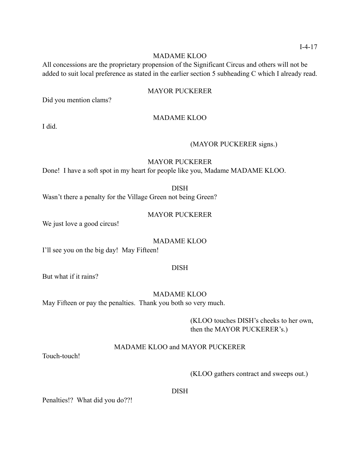## MADAME KLOO

All concessions are the proprietary propension of the Significant Circus and others will not be added to suit local preference as stated in the earlier section 5 subheading C which I already read.

## MAYOR PUCKERER

Did you mention clams?

## MADAME KLOO

I did.

## (MAYOR PUCKERER signs.)

## MAYOR PUCKERER

Done! I have a soft spot in my heart for people like you, Madame MADAME KLOO.

DISH

Wasn't there a penalty for the Village Green not being Green?

#### MAYOR PUCKERER

We just love a good circus!

#### MADAME KLOO

I'll see you on the big day! May Fifteen!

#### DISH

But what if it rains?

MADAME KLOO

May Fifteen or pay the penalties. Thank you both so very much.

 (KLOO touches DISH's cheeks to her own, then the MAYOR PUCKERER's.)

## MADAME KLOO and MAYOR PUCKERER

Touch-touch!

(KLOO gathers contract and sweeps out.)

DISH

Penalties!? What did you do??!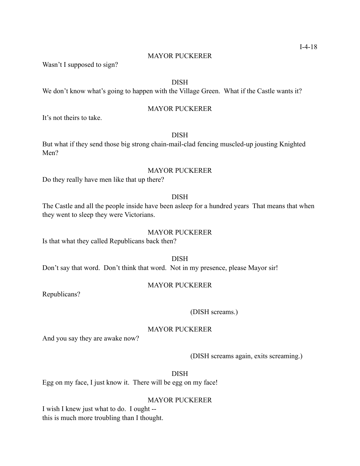#### MAYOR PUCKERER

Wasn't I supposed to sign?

## DISH

We don't know what's going to happen with the Village Green. What if the Castle wants it?

## MAYOR PUCKERER

It's not theirs to take.

## DISH

But what if they send those big strong chain-mail-clad fencing muscled-up jousting Knighted Men?

#### MAYOR PUCKERER

Do they really have men like that up there?

#### DISH

The Castle and all the people inside have been asleep for a hundred years That means that when they went to sleep they were Victorians.

#### MAYOR PUCKERER

Is that what they called Republicans back then?

DISH

Don't say that word. Don't think that word. Not in my presence, please Mayor sir!

## MAYOR PUCKERER

Republicans?

#### (DISH screams.)

#### MAYOR PUCKERER

And you say they are awake now?

(DISH screams again, exits screaming.)

DISH

Egg on my face, I just know it. There will be egg on my face!

#### MAYOR PUCKERER

I wish I knew just what to do. I ought - this is much more troubling than I thought.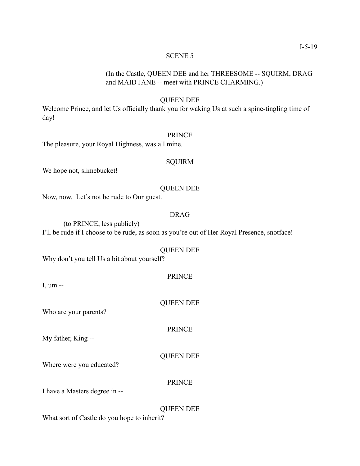# (In the Castle, QUEEN DEE and her THREESOME -- SQUIRM, DRAG and MAID JANE -- meet with PRINCE CHARMING.)

## QUEEN DEE

Welcome Prince, and let Us officially thank you for waking Us at such a spine-tingling time of day!

#### PRINCE

The pleasure, your Royal Highness, was all mine.

## **SQUIRM**

We hope not, slimebucket!

#### QUEEN DEE

Now, now. Let's not be rude to Our guest.

# DRAG

 (to PRINCE, less publicly) I'll be rude if I choose to be rude, as soon as you're out of Her Royal Presence, snotface!

#### QUEEN DEE

Why don't you tell Us a bit about yourself?

| PRIN |
|------|
|------|

I, um --

QUEEN DEE

Who are your parents?

My father, King --

## QUEEN DEE

PRINCE

Where were you educated?

#### PRINCE

I have a Masters degree in --

#### QUEEN DEE

What sort of Castle do you hope to inherit?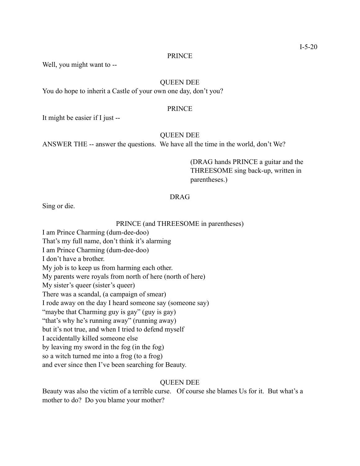#### PRINCE

Well, you might want to --

## QUEEN DEE

You do hope to inherit a Castle of your own one day, don't you?

#### PRINCE

It might be easier if I just --

#### QUEEN DEE

ANSWER THE -- answer the questions. We have all the time in the world, don't We?

 (DRAG hands PRINCE a guitar and the THREESOME sing back-up, written in parentheses.)

## DRAG

Sing or die.

#### PRINCE (and THREESOME in parentheses)

I am Prince Charming (dum-dee-doo) That's my full name, don't think it's alarming I am Prince Charming (dum-dee-doo) I don't have a brother. My job is to keep us from harming each other. My parents were royals from north of here (north of here) My sister's queer (sister's queer) There was a scandal, (a campaign of smear) I rode away on the day I heard someone say (someone say) "maybe that Charming guy is gay" (guy is gay) "that's why he's running away" (running away) but it's not true, and when I tried to defend myself I accidentally killed someone else by leaving my sword in the fog (in the fog) so a witch turned me into a frog (to a frog) and ever since then I've been searching for Beauty.

#### QUEEN DEE

Beauty was also the victim of a terrible curse. Of course she blames Us for it. But what's a mother to do? Do you blame your mother?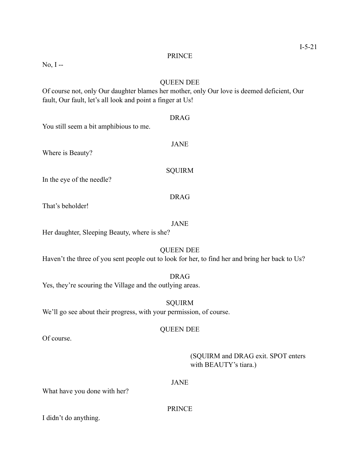PRINCE

No, I --

## QUEEN DEE

Of course not, only Our daughter blames her mother, only Our love is deemed deficient, Our fault, Our fault, let's all look and point a finger at Us!

DRAG You still seem a bit amphibious to me. JANE Where is Beauty? SQUIRM In the eye of the needle? DRAG That's beholder! JANE

Her daughter, Sleeping Beauty, where is she?

## QUEEN DEE

Haven't the three of you sent people out to look for her, to find her and bring her back to Us?

## DRAG

Yes, they're scouring the Village and the outlying areas.

SQUIRM We'll go see about their progress, with your permission, of course.

## QUEEN DEE

Of course.

 (SQUIRM and DRAG exit. SPOT enters with BEAUTY's tiara.)

## JANE

What have you done with her?

## PRINCE

I didn't do anything.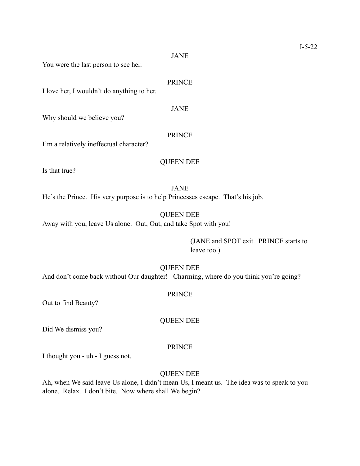JANE

You were the last person to see her.

#### PRINCE

I love her, I wouldn't do anything to her.

JANE

Why should we believe you?

#### PRINCE

I'm a relatively ineffectual character?

# QUEEN DEE

Is that true?

JANE He's the Prince. His very purpose is to help Princesses escape. That's his job.

QUEEN DEE Away with you, leave Us alone. Out, Out, and take Spot with you!

> (JANE and SPOT exit. PRINCE starts to leave too.)

#### QUEEN DEE

And don't come back without Our daughter! Charming, where do you think you're going?

#### PRINCE

QUEEN DEE

Out to find Beauty?

Did We dismiss you?

## PRINCE

I thought you - uh - I guess not.

## QUEEN DEE

Ah, when We said leave Us alone, I didn't mean Us, I meant us. The idea was to speak to you alone. Relax. I don't bite. Now where shall We begin?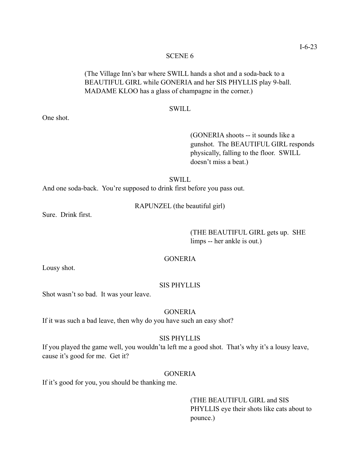# (The Village Inn's bar where SWILL hands a shot and a soda-back to a BEAUTIFUL GIRL while GONERIA and her SIS PHYLLIS play 9-ball. MADAME KLOO has a glass of champagne in the corner.)

#### SWILL

 (GONERIA shoots -- it sounds like a gunshot. The BEAUTIFUL GIRL responds physically, falling to the floor. SWILL doesn't miss a beat.)

## **SWILL**

And one soda-back. You're supposed to drink first before you pass out.

RAPUNZEL (the beautiful girl)

Sure. Drink first.

 (THE BEAUTIFUL GIRL gets up. SHE limps -- her ankle is out.)

## **GONERIA**

Lousy shot.

## SIS PHYLLIS

Shot wasn't so bad. It was your leave.

## **GONERIA**

If it was such a bad leave, then why do you have such an easy shot?

#### SIS PHYLLIS

If you played the game well, you wouldn'ta left me a good shot. That's why it's a lousy leave, cause it's good for me. Get it?

## **GONERIA**

If it's good for you, you should be thanking me.

 (THE BEAUTIFUL GIRL and SIS PHYLLIS eye their shots like cats about to pounce.)

One shot.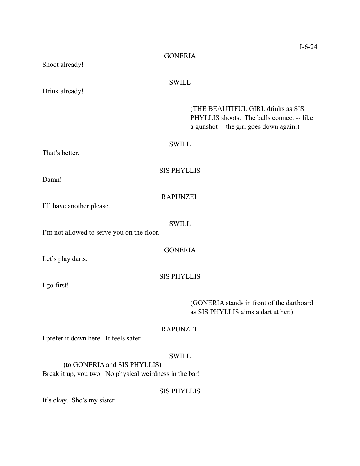|                                                                                         | $I - 6 - 24$                                                                                                              |  |
|-----------------------------------------------------------------------------------------|---------------------------------------------------------------------------------------------------------------------------|--|
| Shoot already!                                                                          | <b>GONERIA</b>                                                                                                            |  |
| Drink already!                                                                          | <b>SWILL</b>                                                                                                              |  |
|                                                                                         | (THE BEAUTIFUL GIRL drinks as SIS<br>PHYLLIS shoots. The balls connect -- like<br>a gunshot -- the girl goes down again.) |  |
|                                                                                         | <b>SWILL</b>                                                                                                              |  |
| That's better.                                                                          |                                                                                                                           |  |
| Damn!                                                                                   | <b>SIS PHYLLIS</b>                                                                                                        |  |
|                                                                                         |                                                                                                                           |  |
| I'll have another please.                                                               | <b>RAPUNZEL</b>                                                                                                           |  |
| I'm not allowed to serve you on the floor.                                              | <b>SWILL</b>                                                                                                              |  |
| Let's play darts.                                                                       | <b>GONERIA</b>                                                                                                            |  |
| I go first!                                                                             | <b>SIS PHYLLIS</b>                                                                                                        |  |
|                                                                                         | (GONERIA stands in front of the dartboard<br>as SIS PHYLLIS aims a dart at her.)                                          |  |
| I prefer it down here. It feels safer.                                                  | <b>RAPUNZEL</b>                                                                                                           |  |
| (to GONERIA and SIS PHYLLIS)<br>Break it up, you two. No physical weirdness in the bar! | <b>SWILL</b>                                                                                                              |  |

SIS PHYLLIS

It's okay. She's my sister.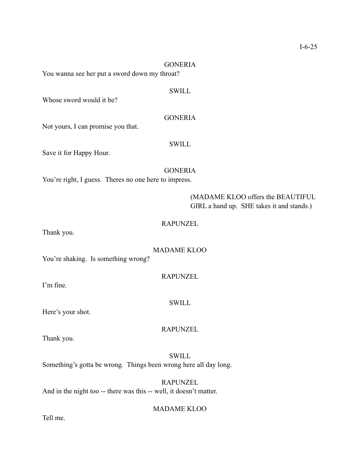## GONERIA

You wanna see her put a sword down my throat?

#### **SWILL**

**GONERIA** 

Whose sword would it be?

Not yours, I can promise you that.

#### SWILL

Save it for Happy Hour.

#### GONERIA

You're right, I guess. Theres no one here to impress.

## (MADAME KLOO offers the BEAUTIFUL GIRL a hand up. SHE takes it and stands.)

## RAPUNZEL

Thank you.

## MADAME KLOO

RAPUNZEL

You're shaking. Is something wrong?

I'm fine.

#### SWILL

Here's your shot.

#### RAPUNZEL

Thank you.

**SWILL** Something's gotta be wrong. Things been wrong here all day long.

## RAPUNZEL And in the night too -- there was this -- well, it doesn't matter.

#### MADAME KLOO

Tell me.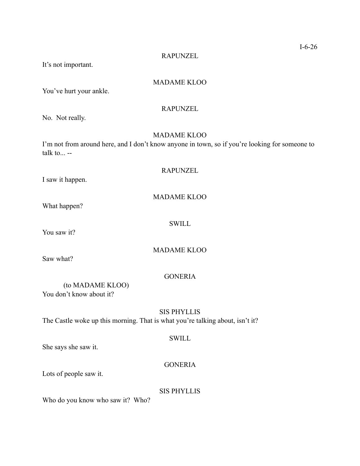RAPUNZEL

It's not important.

## MADAME KLOO

You've hurt your ankle.

RAPUNZEL

No. Not really.

## MADAME KLOO

I'm not from around here, and I don't know anyone in town, so if you're looking for someone to talk to...  $-$ 

RAPUNZEL

I saw it happen.

What happen?

You saw it?

# MADAME KLOO

SWILL

Saw what?

## **GONERIA**

 (to MADAME KLOO) You don't know about it?

# SIS PHYLLIS

The Castle woke up this morning. That is what you're talking about, isn't it?

## **SWILL**

She says she saw it.

## GONERIA

Lots of people saw it.

SIS PHYLLIS

Who do you know who saw it? Who?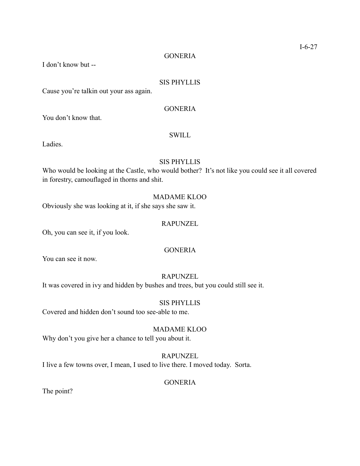## **GONERIA**

I don't know but --

## SIS PHYLLIS

Cause you're talkin out your ass again.

## **GONERIA**

You don't know that.

## SWILL

Ladies.

## SIS PHYLLIS

Who would be looking at the Castle, who would bother? It's not like you could see it all covered in forestry, camouflaged in thorns and shit.

## MADAME KLOO

Obviously she was looking at it, if she says she saw it.

## RAPUNZEL

Oh, you can see it, if you look.

## **GONERIA**

You can see it now.

## RAPUNZEL

It was covered in ivy and hidden by bushes and trees, but you could still see it.

#### SIS PHYLLIS

Covered and hidden don't sound too see-able to me.

## MADAME KLOO

Why don't you give her a chance to tell you about it.

# RAPUNZEL

I live a few towns over, I mean, I used to live there. I moved today. Sorta.

## **GONERIA**

The point?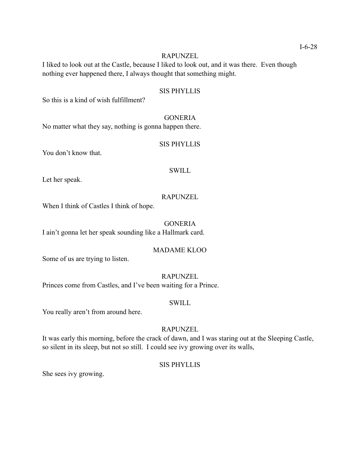## RAPUNZEL

I liked to look out at the Castle, because I liked to look out, and it was there. Even though nothing ever happened there, I always thought that something might.

## SIS PHYLLIS

So this is a kind of wish fulfillment?

## **GONERIA**

No matter what they say, nothing is gonna happen there.

## SIS PHYLLIS

You don't know that.

#### SWILL

Let her speak.

## RAPUNZEL

When I think of Castles I think of hope.

## **GONERIA**

I ain't gonna let her speak sounding like a Hallmark card.

## MADAME KLOO

Some of us are trying to listen.

## RAPUNZEL

Princes come from Castles, and I've been waiting for a Prince.

#### SWILL

You really aren't from around here.

#### RAPUNZEL

It was early this morning, before the crack of dawn, and I was staring out at the Sleeping Castle, so silent in its sleep, but not so still. I could see ivy growing over its walls,

#### SIS PHYLLIS

She sees ivy growing.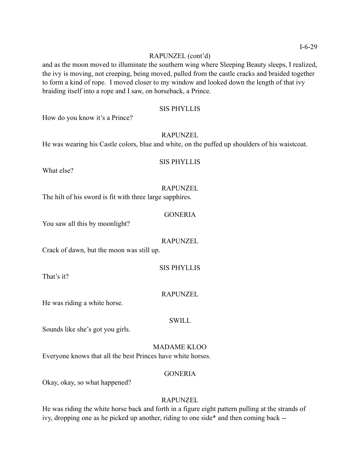## RAPUNZEL (cont'd)

and as the moon moved to illuminate the southern wing where Sleeping Beauty sleeps, I realized, the ivy is moving, not creeping, being moved, pulled from the castle cracks and braided together to form a kind of rope. I moved closer to my window and looked down the length of that ivy braiding itself into a rope and I saw, on horseback, a Prince.

## SIS PHYLLIS

How do you know it's a Prince?

#### RAPUNZEL

He was wearing his Castle colors, blue and white, on the puffed up shoulders of his waistcoat.

What else?

# RAPUNZEL

SIS PHYLLIS

The hilt of his sword is fit with three large sapphires.

#### **GONERIA**

You saw all this by moonlight?

#### RAPUNZEL

Crack of dawn, but the moon was still up.

#### SIS PHYLLIS

That's it?

#### RAPUNZEL

He was riding a white horse.

## **SWILL**

Sounds like she's got you girls.

## MADAME KLOO

Everyone knows that all the best Princes have white horses.

#### **GONERIA**

Okay, okay, so what happened?

#### RAPUNZEL

He was riding the white horse back and forth in a figure eight pattern pulling at the strands of ivy, dropping one as he picked up another, riding to one side\* and then coming back --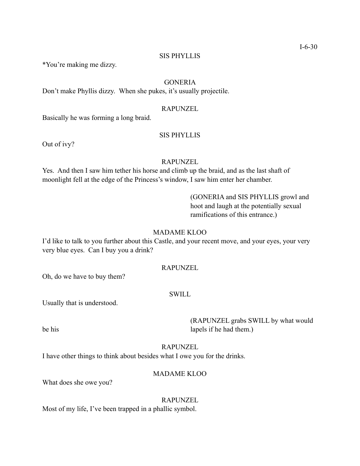#### SIS PHYLLIS

\*You're making me dizzy.

# **GONERIA**

Don't make Phyllis dizzy. When she pukes, it's usually projectile.

#### RAPUNZEL

Basically he was forming a long braid.

#### SIS PHYLLIS

Out of ivy?

## RAPUNZEL

Yes. And then I saw him tether his horse and climb up the braid, and as the last shaft of moonlight fell at the edge of the Princess's window, I saw him enter her chamber.

> (GONERIA and SIS PHYLLIS growl and hoot and laugh at the potentially sexual ramifications of this entrance.)

## MADAME KLOO

I'd like to talk to you further about this Castle, and your recent move, and your eyes, your very very blue eyes. Can I buy you a drink?

#### RAPUNZEL

Oh, do we have to buy them?

#### SWILL

Usually that is understood.

 (RAPUNZEL grabs SWILL by what would be his lapels if he had them.)

#### RAPUNZEL

I have other things to think about besides what I owe you for the drinks.

MADAME KLOO

What does she owe you?

# RAPUNZEL

Most of my life, I've been trapped in a phallic symbol.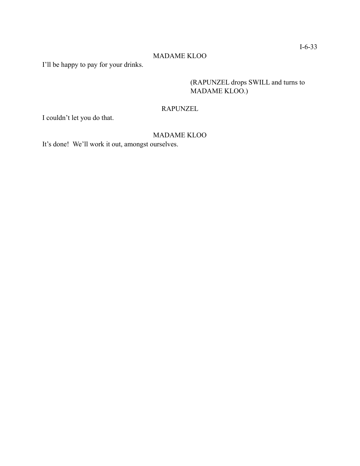# MADAME KLOO

I'll be happy to pay for your drinks.

 (RAPUNZEL drops SWILL and turns to MADAME KLOO.)

# RAPUNZEL

I couldn't let you do that.

# MADAME KLOO

It's done! We'll work it out, amongst ourselves.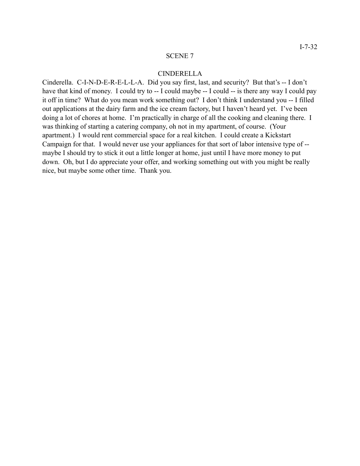#### CINDERELLA

Cinderella. C-I-N-D-E-R-E-L-L-A. Did you say first, last, and security? But that's -- I don't have that kind of money. I could try to -- I could maybe -- I could -- is there any way I could pay it off in time? What do you mean work something out? I don't think I understand you -- I filled out applications at the dairy farm and the ice cream factory, but I haven't heard yet. I've been doing a lot of chores at home. I'm practically in charge of all the cooking and cleaning there. I was thinking of starting a catering company, oh not in my apartment, of course. (Your apartment.) I would rent commercial space for a real kitchen. I could create a Kickstart Campaign for that. I would never use your appliances for that sort of labor intensive type of - maybe I should try to stick it out a little longer at home, just until I have more money to put down. Oh, but I do appreciate your offer, and working something out with you might be really nice, but maybe some other time. Thank you.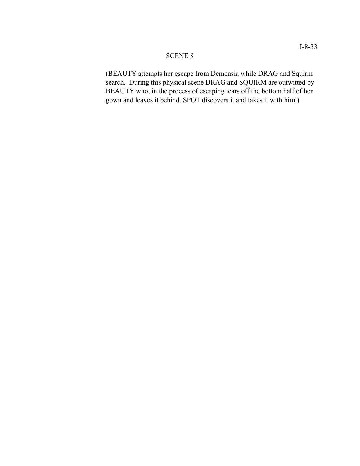(BEAUTY attempts her escape from Demensia while DRAG and Squirm search. During this physical scene DRAG and SQUIRM are outwitted by BEAUTY who, in the process of escaping tears off the bottom half of her gown and leaves it behind. SPOT discovers it and takes it with him.)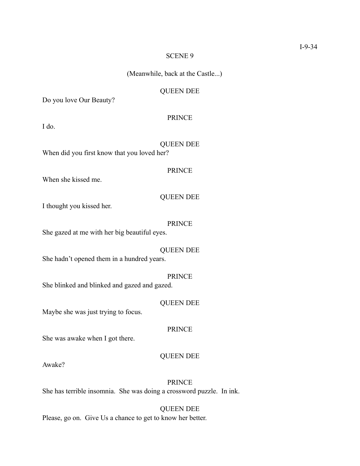(Meanwhile, back at the Castle...)

## QUEEN DEE

Do you love Our Beauty?

#### PRINCE

I do.

# QUEEN DEE

When did you first know that you loved her?

#### PRINCE

When she kissed me.

## QUEEN DEE

I thought you kissed her.

#### PRINCE

She gazed at me with her big beautiful eyes.

## QUEEN DEE

She hadn't opened them in a hundred years.

## PRINCE

She blinked and blinked and gazed and gazed.

#### QUEEN DEE

Maybe she was just trying to focus.

## PRINCE

She was awake when I got there.

# QUEEN DEE

Awake?

## PRINCE

She has terrible insomnia. She was doing a crossword puzzle. In ink.

# QUEEN DEE

Please, go on. Give Us a chance to get to know her better.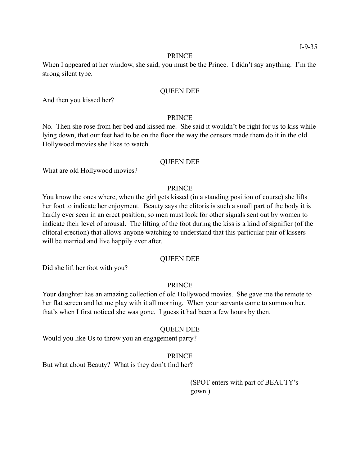#### PRINCE

When I appeared at her window, she said, you must be the Prince. I didn't say anything. I'm the strong silent type.

## QUEEN DEE

And then you kissed her?

## PRINCE

No. Then she rose from her bed and kissed me. She said it wouldn't be right for us to kiss while lying down, that our feet had to be on the floor the way the censors made them do it in the old Hollywood movies she likes to watch.

## QUEEN DEE

What are old Hollywood movies?

## PRINCE

You know the ones where, when the girl gets kissed (in a standing position of course) she lifts her foot to indicate her enjoyment. Beauty says the clitoris is such a small part of the body it is hardly ever seen in an erect position, so men must look for other signals sent out by women to indicate their level of arousal. The lifting of the foot during the kiss is a kind of signifier (of the clitoral erection) that allows anyone watching to understand that this particular pair of kissers will be married and live happily ever after.

## QUEEN DEE

Did she lift her foot with you?

## PRINCE

Your daughter has an amazing collection of old Hollywood movies. She gave me the remote to her flat screen and let me play with it all morning. When your servants came to summon her, that's when I first noticed she was gone. I guess it had been a few hours by then.

#### QUEEN DEE

Would you like Us to throw you an engagement party?

## PRINCE

But what about Beauty? What is they don't find her?

 (SPOT enters with part of BEAUTY's gown.)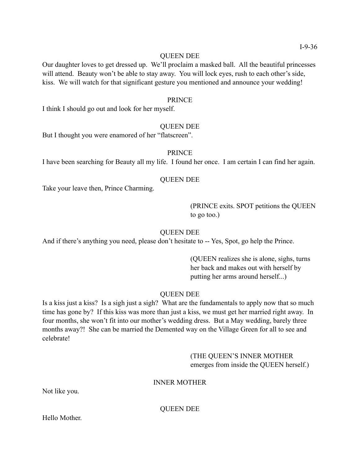## QUEEN DEE

Our daughter loves to get dressed up. We'll proclaim a masked ball. All the beautiful princesses will attend. Beauty won't be able to stay away. You will lock eyes, rush to each other's side, kiss. We will watch for that significant gesture you mentioned and announce your wedding!

## PRINCE

I think I should go out and look for her myself.

# QUEEN DEE

But I thought you were enamored of her "flatscreen".

# PRINCE

I have been searching for Beauty all my life. I found her once. I am certain I can find her again.

# QUEEN DEE

Take your leave then, Prince Charming.

 (PRINCE exits. SPOT petitions the QUEEN to go too.)

## QUEEN DEE

And if there's anything you need, please don't hesitate to -- Yes, Spot, go help the Prince.

 (QUEEN realizes she is alone, sighs, turns her back and makes out with herself by putting her arms around herself...)

# QUEEN DEE

Is a kiss just a kiss? Is a sigh just a sigh? What are the fundamentals to apply now that so much time has gone by? If this kiss was more than just a kiss, we must get her married right away. In four months, she won't fit into our mother's wedding dress. But a May wedding, barely three months away?! She can be married the Demented way on the Village Green for all to see and celebrate!

# (THE QUEEN'S INNER MOTHER emerges from inside the QUEEN herself.)

## INNER MOTHER

Not like you.

QUEEN DEE

Hello Mother.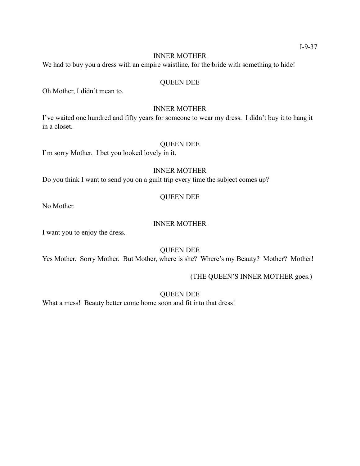## INNER MOTHER

We had to buy you a dress with an empire waistline, for the bride with something to hide!

# QUEEN DEE

Oh Mother, I didn't mean to.

## INNER MOTHER

I've waited one hundred and fifty years for someone to wear my dress. I didn't buy it to hang it in a closet.

## QUEEN DEE

I'm sorry Mother. I bet you looked lovely in it.

# INNER MOTHER

Do you think I want to send you on a guilt trip every time the subject comes up?

# QUEEN DEE

No Mother.

# INNER MOTHER

I want you to enjoy the dress.

# QUEEN DEE

Yes Mother. Sorry Mother. But Mother, where is she? Where's my Beauty? Mother? Mother!

# (THE QUEEN'S INNER MOTHER goes.)

QUEEN DEE

What a mess! Beauty better come home soon and fit into that dress!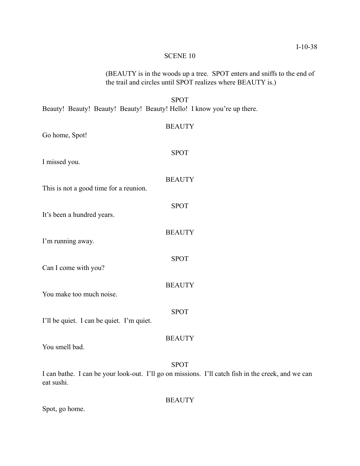## SCENE 10

 (BEAUTY is in the woods up a tree. SPOT enters and sniffs to the end of the trail and circles until SPOT realizes where BEAUTY is.) SPOT Beauty! Beauty! Beauty! Beauty! Beauty! Hello! I know you're up there. **BEAUTY** Go home, Spot! SPOT I missed you. **BEAUTY** This is not a good time for a reunion. SPOT It's been a hundred years. **BEAUTY** I'm running away. SPOT Can I come with you? **BEAUTY** You make too much noise. SPOT I'll be quiet. I can be quiet. I'm quiet. **BEAUTY** You smell bad. SPOT I can bathe. I can be your look-out. I'll go on missions. I'll catch fish in the creek, and we can eat sushi. **BEAUTY** 

Spot, go home.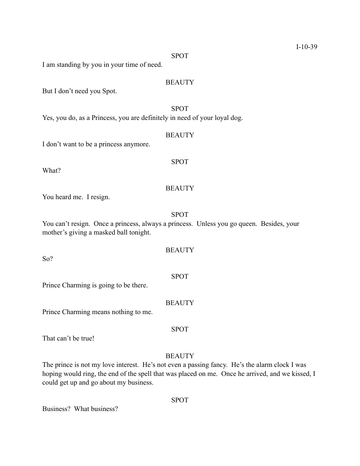SPOT

I am standing by you in your time of need.

# **BEAUTY**

But I don't need you Spot.

# SPOT

Yes, you do, as a Princess, you are definitely in need of your loyal dog.

## **BEAUTY**

SPOT

I don't want to be a princess anymore.

What?

So?

## **BEAUTY**

You heard me. I resign.

SPOT

You can't resign. Once a princess, always a princess. Unless you go queen. Besides, your mother's giving a masked ball tonight.

**BEAUTY** 

Prince Charming is going to be there.

**BEAUTY** 

Prince Charming means nothing to me.

That can't be true!

## **BEAUTY**

SPOT

The prince is not my love interest. He's not even a passing fancy. He's the alarm clock I was hoping would ring, the end of the spell that was placed on me. Once he arrived, and we kissed, I could get up and go about my business.

SPOT

Business? What business?

SPOT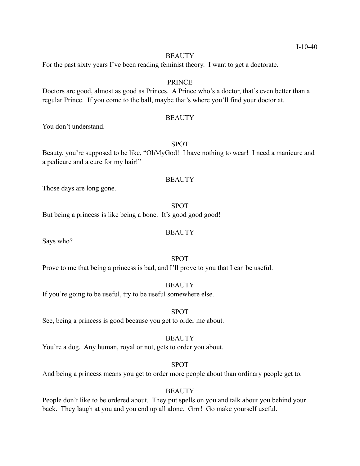## **BEAUTY**

For the past sixty years I've been reading feminist theory. I want to get a doctorate.

## PRINCE

Doctors are good, almost as good as Princes. A Prince who's a doctor, that's even better than a regular Prince. If you come to the ball, maybe that's where you'll find your doctor at.

## **BEAUTY**

You don't understand.

# SPOT

Beauty, you're supposed to be like, "OhMyGod! I have nothing to wear! I need a manicure and a pedicure and a cure for my hair!"

## **BEAUTY**

Those days are long gone.

SPOT But being a princess is like being a bone. It's good good good!

## **BEAUTY**

Says who?

# SPOT

Prove to me that being a princess is bad, and I'll prove to you that I can be useful.

## **BEAUTY**

If you're going to be useful, try to be useful somewhere else.

## SPOT

See, being a princess is good because you get to order me about.

#### **BEAUTY**

You're a dog. Any human, royal or not, gets to order you about.

#### SPOT

And being a princess means you get to order more people about than ordinary people get to.

# **BEAUTY**

People don't like to be ordered about. They put spells on you and talk about you behind your back. They laugh at you and you end up all alone. Grrr! Go make yourself useful.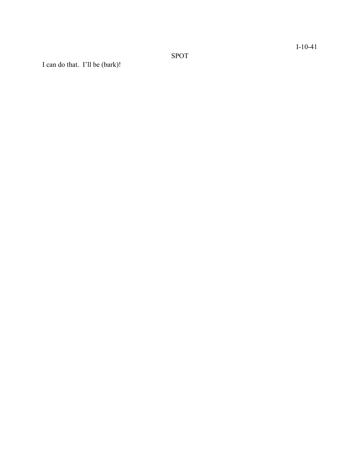SPOT

I can do that. I'll be (bark)!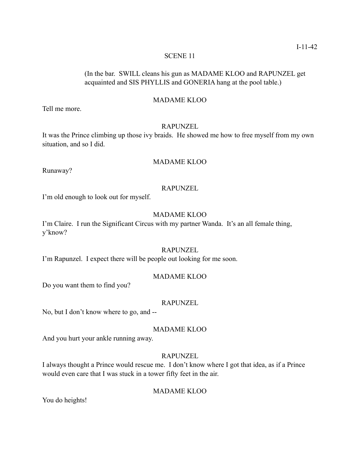## SCENE 11

# (In the bar. SWILL cleans his gun as MADAME KLOO and RAPUNZEL get acquainted and SIS PHYLLIS and GONERIA hang at the pool table.)

# MADAME KLOO

Tell me more.

# RAPUNZEL

It was the Prince climbing up those ivy braids. He showed me how to free myself from my own situation, and so I did.

# MADAME KLOO

Runaway?

## RAPUNZEL

I'm old enough to look out for myself.

# MADAME KLOO

I'm Claire. I run the Significant Circus with my partner Wanda. It's an all female thing, y'know?

# RAPUNZEL

I'm Rapunzel. I expect there will be people out looking for me soon.

## MADAME KLOO

Do you want them to find you?

## RAPUNZEL

No, but I don't know where to go, and --

## MADAME KLOO

And you hurt your ankle running away.

# RAPUNZEL

I always thought a Prince would rescue me. I don't know where I got that idea, as if a Prince would even care that I was stuck in a tower fifty feet in the air.

# MADAME KLOO

You do heights!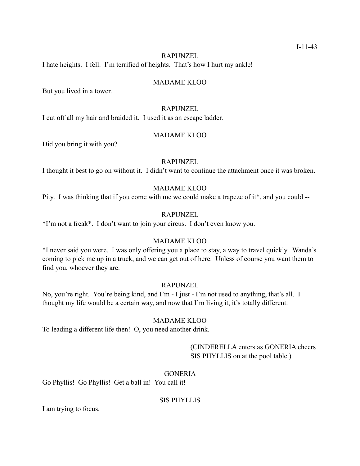## RAPUNZEL

I hate heights. I fell. I'm terrified of heights. That's how I hurt my ankle!

## MADAME KLOO

But you lived in a tower.

## RAPUNZEL

I cut off all my hair and braided it. I used it as an escape ladder.

## MADAME KLOO

Did you bring it with you?

## RAPUNZEL

I thought it best to go on without it. I didn't want to continue the attachment once it was broken.

# MADAME KLOO

Pity. I was thinking that if you come with me we could make a trapeze of it\*, and you could --

## RAPUNZEL

\*I'm not a freak\*. I don't want to join your circus. I don't even know you.

## MADAME KLOO

\*I never said you were. I was only offering you a place to stay, a way to travel quickly. Wanda's coming to pick me up in a truck, and we can get out of here. Unless of course you want them to find you, whoever they are.

# RAPUNZEL

No, you're right. You're being kind, and I'm - I just - I'm not used to anything, that's all. I thought my life would be a certain way, and now that I'm living it, it's totally different.

# MADAME KLOO

To leading a different life then! O, you need another drink.

 (CINDERELLA enters as GONERIA cheers SIS PHYLLIS on at the pool table.)

# **GONERIA**

Go Phyllis! Go Phyllis! Get a ball in! You call it!

## SIS PHYLLIS

I am trying to focus.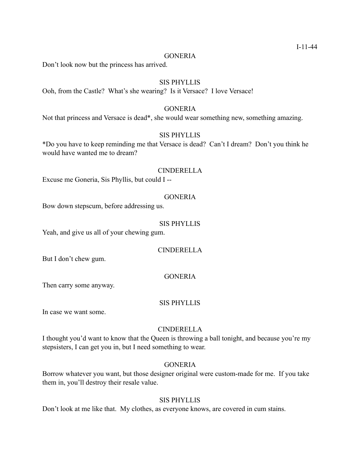## **GONERIA**

Don't look now but the princess has arrived.

## SIS PHYLLIS

Ooh, from the Castle? What's she wearing? Is it Versace? I love Versace!

# GONERIA

Not that princess and Versace is dead\*, she would wear something new, something amazing.

#### SIS PHYLLIS

\*Do you have to keep reminding me that Versace is dead? Can't I dream? Don't you think he would have wanted me to dream?

## CINDERELLA

Excuse me Goneria, Sis Phyllis, but could I --

## GONERIA

Bow down stepscum, before addressing us.

## SIS PHYLLIS

Yeah, and give us all of your chewing gum.

# CINDERELLA

But I don't chew gum.

# **GONERIA**

Then carry some anyway.

#### SIS PHYLLIS

In case we want some.

## CINDERELLA

I thought you'd want to know that the Queen is throwing a ball tonight, and because you're my stepsisters, I can get you in, but I need something to wear.

# **GONERIA**

Borrow whatever you want, but those designer original were custom-made for me. If you take them in, you'll destroy their resale value.

# SIS PHYLLIS

Don't look at me like that. My clothes, as everyone knows, are covered in cum stains.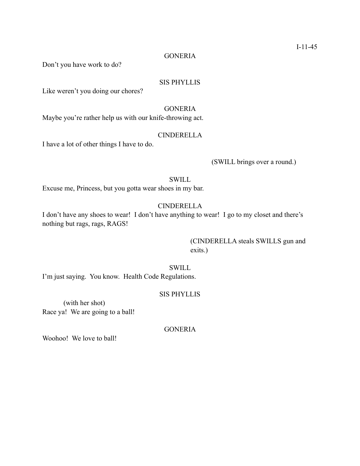# **GONERIA**

Don't you have work to do?

# SIS PHYLLIS

Like weren't you doing our chores?

## **GONERIA**

Maybe you're rather help us with our knife-throwing act.

## CINDERELLA

I have a lot of other things I have to do.

# (SWILL brings over a round.)

# **SWILL**

Excuse me, Princess, but you gotta wear shoes in my bar.

# CINDERELLA

I don't have any shoes to wear! I don't have anything to wear! I go to my closet and there's nothing but rags, rags, RAGS!

> (CINDERELLA steals SWILLS gun and exits.)

## SWILL

I'm just saying. You know. Health Code Regulations.

#### SIS PHYLLIS

 (with her shot) Race ya! We are going to a ball!

#### GONERIA

Woohoo! We love to ball!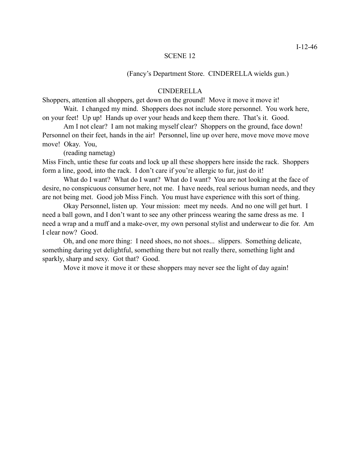#### SCENE 12

(Fancy's Department Store. CINDERELLA wields gun.)

## CINDERELLA

Shoppers, attention all shoppers, get down on the ground! Move it move it move it!

 Wait. I changed my mind. Shoppers does not include store personnel. You work here, on your feet! Up up! Hands up over your heads and keep them there. That's it. Good.

Am I not clear? I am not making myself clear? Shoppers on the ground, face down! Personnel on their feet, hands in the air! Personnel, line up over here, move move move move move! Okay. You,

(reading nametag)

Miss Finch, untie these fur coats and lock up all these shoppers here inside the rack. Shoppers form a line, good, into the rack. I don't care if you're allergic to fur, just do it!

What do I want? What do I want? What do I want? You are not looking at the face of desire, no conspicuous consumer here, not me. I have needs, real serious human needs, and they are not being met. Good job Miss Finch. You must have experience with this sort of thing.

 Okay Personnel, listen up. Your mission: meet my needs. And no one will get hurt. I need a ball gown, and I don't want to see any other princess wearing the same dress as me. I need a wrap and a muff and a make-over, my own personal stylist and underwear to die for. Am I clear now? Good.

 Oh, and one more thing: I need shoes, no not shoes... slippers. Something delicate, something daring yet delightful, something there but not really there, something light and sparkly, sharp and sexy. Got that? Good.

Move it move it move it or these shoppers may never see the light of day again!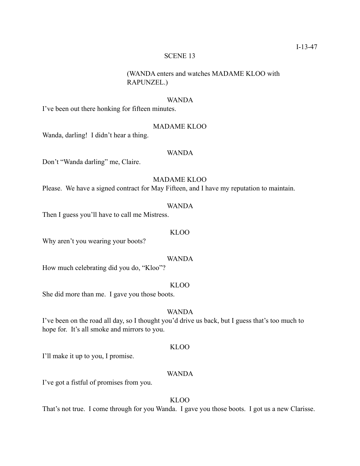## SCENE 13

# (WANDA enters and watches MADAME KLOO with RAPUNZEL.)

## WANDA

I've been out there honking for fifteen minutes.

# MADAME KLOO

Wanda, darling! I didn't hear a thing.

# WANDA

Don't "Wanda darling" me, Claire.

# MADAME KLOO

Please. We have a signed contract for May Fifteen, and I have my reputation to maintain.

## WANDA

Then I guess you'll have to call me Mistress.

#### KLOO

Why aren't you wearing your boots?

#### WANDA

How much celebrating did you do, "Kloo"?

## KLOO

She did more than me. I gave you those boots.

# WANDA

I've been on the road all day, so I thought you'd drive us back, but I guess that's too much to hope for. It's all smoke and mirrors to you.

## KLOO

I'll make it up to you, I promise.

# WANDA

I've got a fistful of promises from you.

# KLOO

That's not true. I come through for you Wanda. I gave you those boots. I got us a new Clarisse.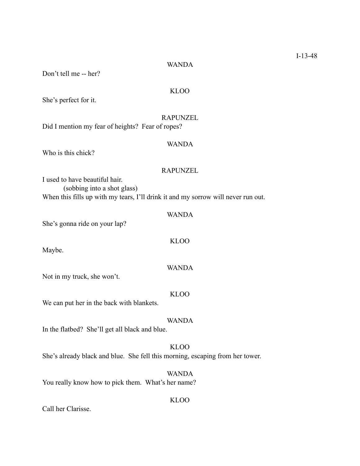#### WANDA

Don't tell me -- her?

# KLOO

She's perfect for it.

## RAPUNZEL

Did I mention my fear of heights? Fear of ropes?

## WANDA

Who is this chick?

## RAPUNZEL

I used to have beautiful hair. (sobbing into a shot glass) When this fills up with my tears, I'll drink it and my sorrow will never run out.

# WANDA

She's gonna ride on your lap?

Maybe.

#### WANDA

KLOO

Not in my truck, she won't.

KLOO

We can put her in the back with blankets.

## WANDA

In the flatbed? She'll get all black and blue.

# KLOO She's already black and blue. She fell this morning, escaping from her tower.

WANDA You really know how to pick them. What's her name?

Call her Clarisse.

#### KLOO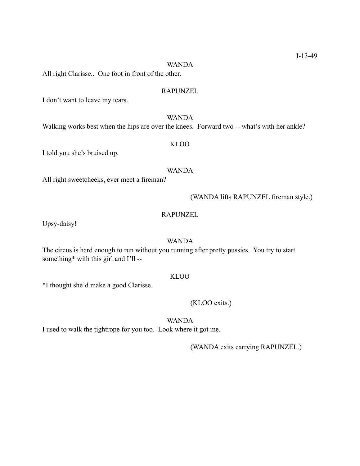## WANDA

All right Clarisse.. One foot in front of the other.

## RAPUNZEL

I don't want to leave my tears.

# WANDA

Walking works best when the hips are over the knees. Forward two -- what's with her ankle?

# KLOO

I told you she's bruised up.

#### WANDA

All right sweetcheeks, ever meet a fireman?

#### (WANDA lifts RAPUNZEL fireman style.)

## RAPUNZEL

Upsy-daisy!

## WANDA

The circus is hard enough to run without you running after pretty pussies. You try to start something\* with this girl and I'll --

## KLOO

\*I thought she'd make a good Clarisse.

## (KLOO exits.)

# WANDA

I used to walk the tightrope for you too. Look where it got me.

(WANDA exits carrying RAPUNZEL.)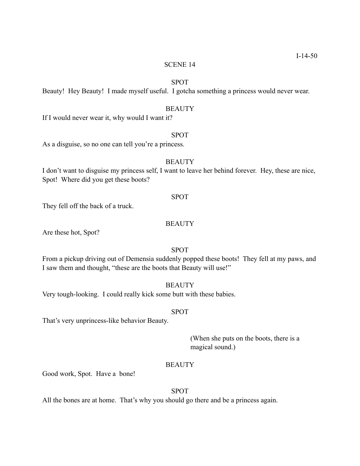## SCENE 14

# SPOT

Beauty! Hey Beauty! I made myself useful. I gotcha something a princess would never wear.

## **BEAUTY**

If I would never wear it, why would I want it?

#### SPOT

As a disguise, so no one can tell you're a princess.

## **BEAUTY**

I don't want to disguise my princess self, I want to leave her behind forever. Hey, these are nice, Spot! Where did you get these boots?

#### SPOT

They fell off the back of a truck.

#### **BEAUTY**

Are these hot, Spot?

# SPOT

From a pickup driving out of Demensia suddenly popped these boots! They fell at my paws, and I saw them and thought, "these are the boots that Beauty will use!"

## **BEAUTY**

Very tough-looking. I could really kick some butt with these babies.

## SPOT

That's very unprincess-like behavior Beauty.

 (When she puts on the boots, there is a magical sound.)

#### **BEAUTY**

Good work, Spot. Have a bone!

# SPOT

All the bones are at home. That's why you should go there and be a princess again.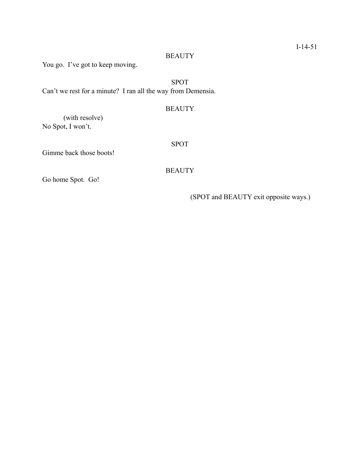# **BEAUTY**

You go. I've got to keep moving.

SPOT Can't we rest for a minute? I ran all the way from Demensia.

# **BEAUTY**

 (with resolve) No Spot, I won't.

Gimme back those boots!

SPOT

# **BEAUTY**

Go home Spot. Go!

(SPOT and BEAUTY exit opposite ways.)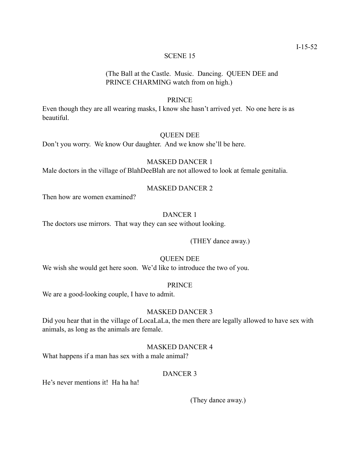## SCENE 15

# (The Ball at the Castle. Music. Dancing. QUEEN DEE and PRINCE CHARMING watch from on high.)

# PRINCE

Even though they are all wearing masks, I know she hasn't arrived yet. No one here is as beautiful.

# QUEEN DEE

Don't you worry. We know Our daughter. And we know she'll be here.

# MASKED DANCER 1

Male doctors in the village of BlahDeeBlah are not allowed to look at female genitalia.

# MASKED DANCER 2

Then how are women examined?

# DANCER 1

The doctors use mirrors. That way they can see without looking.

(THEY dance away.)

# QUEEN DEE

We wish she would get here soon. We'd like to introduce the two of you.

## PRINCE

We are a good-looking couple, I have to admit.

# MASKED DANCER 3

Did you hear that in the village of LocaLaLa, the men there are legally allowed to have sex with animals, as long as the animals are female.

# MASKED DANCER 4

What happens if a man has sex with a male animal?

# DANCER 3

He's never mentions it! Ha ha ha!

(They dance away.)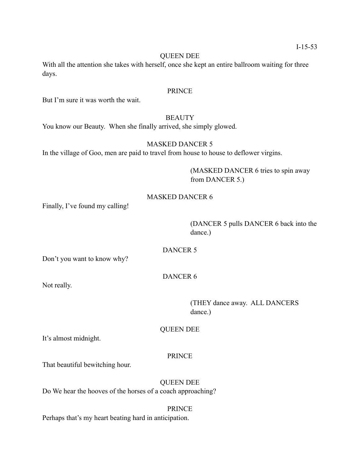## QUEEN DEE

With all the attention she takes with herself, once she kept an entire ballroom waiting for three days.

## PRINCE

But I'm sure it was worth the wait.

# **BEAUTY**

You know our Beauty. When she finally arrived, she simply glowed.

# MASKED DANCER 5

In the village of Goo, men are paid to travel from house to house to deflower virgins.

 (MASKED DANCER 6 tries to spin away from DANCER 5.)

# MASKED DANCER 6

Finally, I've found my calling!

 (DANCER 5 pulls DANCER 6 back into the dance.)

DANCER 5

Don't you want to know why?

DANCER 6

Not really.

 (THEY dance away. ALL DANCERS dance.)

QUEEN DEE

It's almost midnight.

# PRINCE

That beautiful bewitching hour.

# QUEEN DEE

Do We hear the hooves of the horses of a coach approaching?

## PRINCE

Perhaps that's my heart beating hard in anticipation.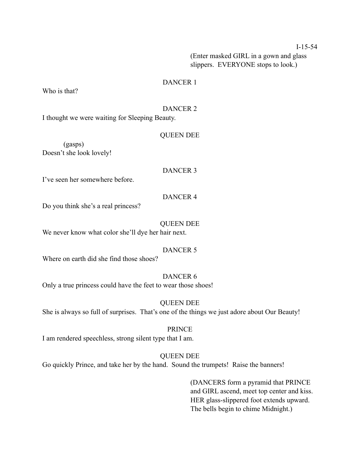## I-15-54

 (Enter masked GIRL in a gown and glass slippers. EVERYONE stops to look.)

# DANCER 1

Who is that?

# DANCER 2

I thought we were waiting for Sleeping Beauty.

# QUEEN DEE

 (gasps) Doesn't she look lovely!

# DANCER 3

I've seen her somewhere before.

# DANCER 4

Do you think she's a real princess?

# QUEEN DEE

We never know what color she'll dye her hair next.

# DANCER 5

Where on earth did she find those shoes?

# DANCER 6

Only a true princess could have the feet to wear those shoes!

# QUEEN DEE

She is always so full of surprises. That's one of the things we just adore about Our Beauty!

## PRINCE

I am rendered speechless, strong silent type that I am.

# QUEEN DEE

Go quickly Prince, and take her by the hand. Sound the trumpets! Raise the banners!

 (DANCERS form a pyramid that PRINCE and GIRL ascend, meet top center and kiss. HER glass-slippered foot extends upward. The bells begin to chime Midnight.)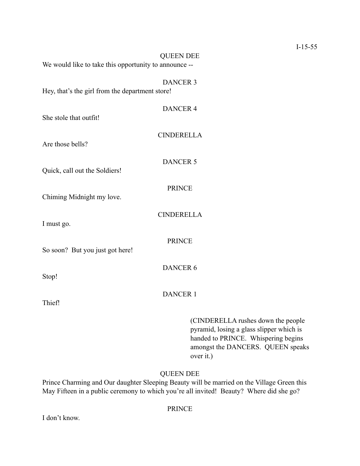| <b>QUEEN DEE</b><br>We would like to take this opportunity to announce -- |                                                                                                                       |
|---------------------------------------------------------------------------|-----------------------------------------------------------------------------------------------------------------------|
| <b>DANCER 3</b><br>Hey, that's the girl from the department store!        |                                                                                                                       |
| <b>DANCER 4</b><br>She stole that outfit!                                 |                                                                                                                       |
| <b>CINDERELLA</b><br>Are those bells?                                     |                                                                                                                       |
| <b>DANCER 5</b>                                                           |                                                                                                                       |
| Quick, call out the Soldiers!<br><b>PRINCE</b>                            |                                                                                                                       |
| Chiming Midnight my love.<br><b>CINDERELLA</b>                            |                                                                                                                       |
| I must go.<br><b>PRINCE</b>                                               |                                                                                                                       |
| So soon? But you just got here!<br><b>DANCER 6</b>                        |                                                                                                                       |
| Stop!                                                                     |                                                                                                                       |
| <b>DANCER 1</b><br>Thief!                                                 |                                                                                                                       |
|                                                                           | (CINDERELLA rushes down the people<br>pyramid, losing a glass slipper which is<br>handed to PRINCE. Whispering begins |

# QUEEN DEE

over it.)

amongst the DANCERS. QUEEN speaks

Prince Charming and Our daughter Sleeping Beauty will be married on the Village Green this May Fifteen in a public ceremony to which you're all invited! Beauty? Where did she go?

# PRINCE

I don't know.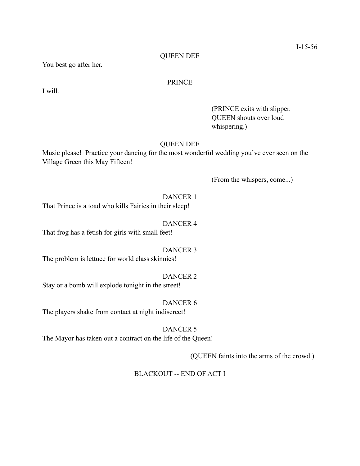# QUEEN DEE

You best go after her.

# PRINCE

I will.

 (PRINCE exits with slipper. QUEEN shouts over loud whispering.)

## QUEEN DEE

Music please! Practice your dancing for the most wonderful wedding you've ever seen on the Village Green this May Fifteen!

(From the whispers, come...)

DANCER 1 That Prince is a toad who kills Fairies in their sleep!

DANCER 4

That frog has a fetish for girls with small feet!

# DANCER 3

The problem is lettuce for world class skinnies!

## DANCER 2

Stay or a bomb will explode tonight in the street!

## DANCER 6

The players shake from contact at night indiscreet!

#### DANCER 5

The Mayor has taken out a contract on the life of the Queen!

(QUEEN faints into the arms of the crowd.)

# BLACKOUT -- END OF ACT I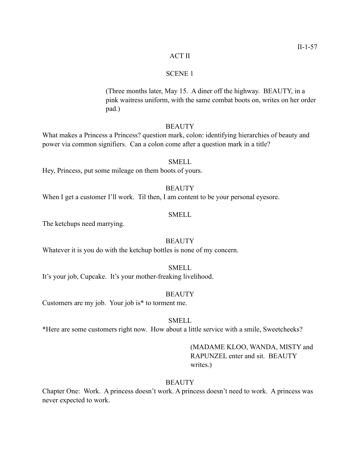## ACT II

#### SCENE 1

 (Three months later, May 15. A diner off the highway. BEAUTY, in a pink waitress uniform, with the same combat boots on, writes on her order pad.)

# **BEAUTY**

What makes a Princess a Princess? question mark, colon: identifying hierarchies of beauty and power via common signifiers. Can a colon come after a question mark in a title?

Hey, Princess, put some mileage on them boots of yours.

## **BEAUTY**

When I get a customer I'll work. Til then, I am content to be your personal eyesore.

## SMELL

The ketchups need marrying.

#### **BEAUTY**

Whatever it is you do with the ketchup bottles is none of my concern.

#### SMELL

It's your job, Cupcake. It's your mother-freaking livelihood.

#### **BEAUTY**

Customers are my job. Your job is\* to torment me.

## SMELL

\*Here are some customers right now. How about a little service with a smile, Sweetcheeks?

# (MADAME KLOO, WANDA, MISTY and RAPUNZEL enter and sit. BEAUTY writes.)

## **BEAUTY**

Chapter One: Work. A princess doesn't work. A princess doesn't need to work. A princess was never expected to work.

# SMELL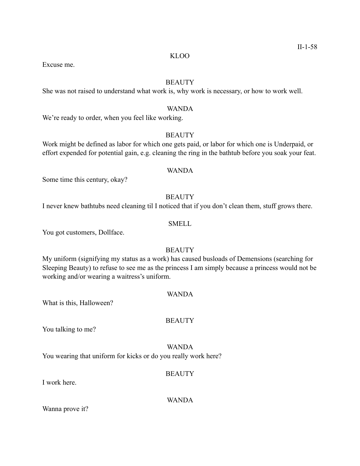#### KLOO

Excuse me.

# **BEAUTY**

She was not raised to understand what work is, why work is necessary, or how to work well.

## WANDA

We're ready to order, when you feel like working.

## **BEAUTY**

Work might be defined as labor for which one gets paid, or labor for which one is Underpaid, or effort expended for potential gain, e.g. cleaning the ring in the bathtub before you soak your feat.

## WANDA

Some time this century, okay?

# **BEAUTY**

I never knew bathtubs need cleaning til I noticed that if you don't clean them, stuff grows there.

# SMELL

You got customers, Dollface.

# **BEAUTY**

My uniform (signifying my status as a work) has caused busloads of Demensions (searching for Sleeping Beauty) to refuse to see me as the princess I am simply because a princess would not be working and/or wearing a waitress's uniform.

# WANDA

What is this, Halloween?

## **BEAUTY**

You talking to me?

WANDA You wearing that uniform for kicks or do you really work here?

## **BEAUTY**

I work here.

WANDA

Wanna prove it?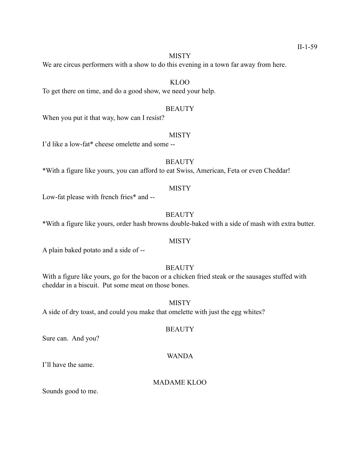## **MISTY**

We are circus performers with a show to do this evening in a town far away from here.

# KLOO

To get there on time, and do a good show, we need your help.

## **BEAUTY**

When you put it that way, how can I resist?

#### **MISTY**

I'd like a low-fat\* cheese omelette and some --

# **BEAUTY**

\*With a figure like yours, you can afford to eat Swiss, American, Feta or even Cheddar!

# **MISTY**

Low-fat please with french fries\* and --

# **BEAUTY**

\*With a figure like yours, order hash browns double-baked with a side of mash with extra butter.

## **MISTY**

A plain baked potato and a side of --

## **BEAUTY**

With a figure like yours, go for the bacon or a chicken fried steak or the sausages stuffed with cheddar in a biscuit. Put some meat on those bones.

## **MISTY**

A side of dry toast, and could you make that omelette with just the egg whites?

#### **BEAUTY**

Sure can. And you?

## WANDA

I'll have the same.

# MADAME KLOO

Sounds good to me.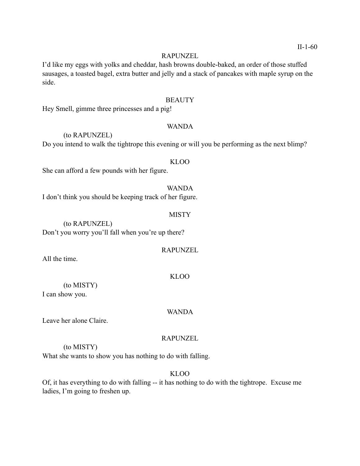#### RAPUNZEL

I'd like my eggs with yolks and cheddar, hash browns double-baked, an order of those stuffed sausages, a toasted bagel, extra butter and jelly and a stack of pancakes with maple syrup on the side.

## **BEAUTY**

Hey Smell, gimme three princesses and a pig!

# WANDA

 (to RAPUNZEL) Do you intend to walk the tightrope this evening or will you be performing as the next blimp?

#### KLOO

She can afford a few pounds with her figure.

WANDA I don't think you should be keeping track of her figure.

#### **MISTY**

 (to RAPUNZEL) Don't you worry you'll fall when you're up there?

#### RAPUNZEL

All the time.

## KLOO

 (to MISTY) I can show you.

## WANDA

Leave her alone Claire.

## RAPUNZEL

(to MISTY)

What she wants to show you has nothing to do with falling.

# KLOO

Of, it has everything to do with falling -- it has nothing to do with the tightrope. Excuse me ladies, I'm going to freshen up.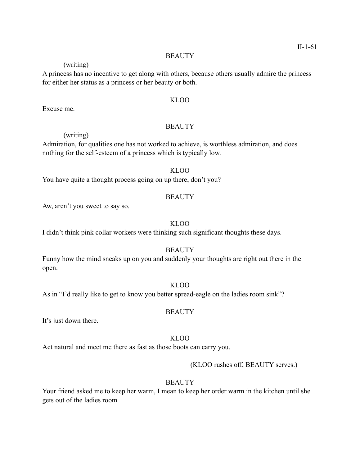#### **BEAUTY**

(writing)

A princess has no incentive to get along with others, because others usually admire the princess for either her status as a princess or her beauty or both.

## KLOO

Excuse me.

# **BEAUTY**

## (writing)

Admiration, for qualities one has not worked to achieve, is worthless admiration, and does nothing for the self-esteem of a princess which is typically low.

#### KLOO

You have quite a thought process going on up there, don't you?

## **BEAUTY**

Aw, aren't you sweet to say so.

# KLOO

I didn't think pink collar workers were thinking such significant thoughts these days.

# **BEAUTY**

Funny how the mind sneaks up on you and suddenly your thoughts are right out there in the open.

## KLOO

As in "I'd really like to get to know you better spread-eagle on the ladies room sink"?

# **BEAUTY**

It's just down there.

## KLOO

Act natural and meet me there as fast as those boots can carry you.

## (KLOO rushes off, BEAUTY serves.)

## **BEAUTY**

Your friend asked me to keep her warm, I mean to keep her order warm in the kitchen until she gets out of the ladies room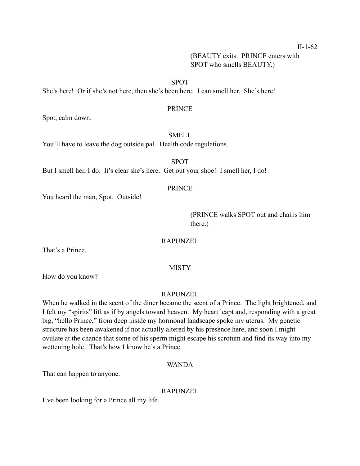II-1-62

 (BEAUTY exits. PRINCE enters with SPOT who smells BEAUTY.)

## SPOT

She's here! Or if she's not here, then she's been here. I can smell her. She's here!

#### PRINCE

Spot, calm down.

## SMELL

You'll have to leave the dog outside pal. Health code regulations.

SPOT

But I smell her, I do. It's clear she's here. Get out your shoe! I smell her, I do!

# PRINCE

You heard the man, Spot. Outside!

 (PRINCE walks SPOT out and chains him there.)

RAPUNZEL

That's a Prince.

## MISTY

How do you know?

# RAPUNZEL

When he walked in the scent of the diner became the scent of a Prince. The light brightened, and I felt my "spirits" lift as if by angels toward heaven. My heart leapt and, responding with a great big, "hello Prince," from deep inside my hormonal landscape spoke my uterus. My genetic structure has been awakened if not actually altered by his presence here, and soon I might ovulate at the chance that some of his sperm might escape his scrotum and find its way into my wettening hole. That's how I know he's a Prince.

#### WANDA

That can happen to anyone.

#### RAPUNZEL

I've been looking for a Prince all my life.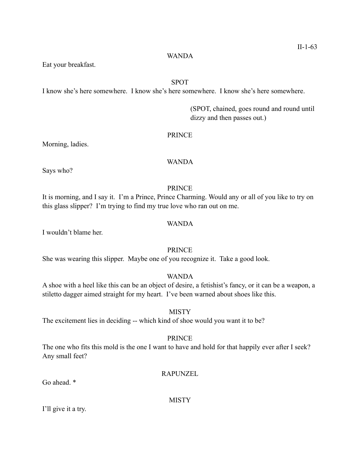Eat your breakfast.

# SPOT

I know she's here somewhere. I know she's here somewhere. I know she's here somewhere.

 (SPOT, chained, goes round and round until dizzy and then passes out.)

# PRINCE

Morning, ladies.

# WANDA

Says who?

# PRINCE

It is morning, and I say it. I'm a Prince, Prince Charming. Would any or all of you like to try on this glass slipper? I'm trying to find my true love who ran out on me.

# WANDA

I wouldn't blame her.

# PRINCE

She was wearing this slipper. Maybe one of you recognize it. Take a good look.

# WANDA

A shoe with a heel like this can be an object of desire, a fetishist's fancy, or it can be a weapon, a stiletto dagger aimed straight for my heart. I've been warned about shoes like this.

# **MISTY**

The excitement lies in deciding -- which kind of shoe would you want it to be?

## PRINCE

The one who fits this mold is the one I want to have and hold for that happily ever after I seek? Any small feet?

# RAPUNZEL

Go ahead  $*$ 

MISTY

I'll give it a try.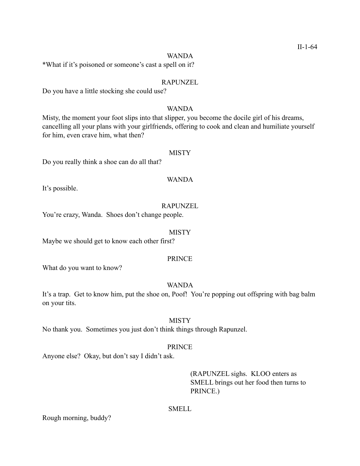## WANDA

\*What if it's poisoned or someone's cast a spell on it?

## RAPUNZEL

Do you have a little stocking she could use?

## WANDA

Misty, the moment your foot slips into that slipper, you become the docile girl of his dreams, cancelling all your plans with your girlfriends, offering to cook and clean and humiliate yourself for him, even crave him, what then?

# **MISTY**

Do you really think a shoe can do all that?

# WANDA

It's possible.

# RAPUNZEL

You're crazy, Wanda. Shoes don't change people.

# MISTY

Maybe we should get to know each other first?

# PRINCE

What do you want to know?

# WANDA

It's a trap. Get to know him, put the shoe on, Poof! You're popping out offspring with bag balm on your tits.

# **MISTY**

No thank you. Sometimes you just don't think things through Rapunzel.

# PRINCE

Anyone else? Okay, but don't say I didn't ask.

# (RAPUNZEL sighs. KLOO enters as SMELL brings out her food then turns to PRINCE.)

# SMELL

Rough morning, buddy?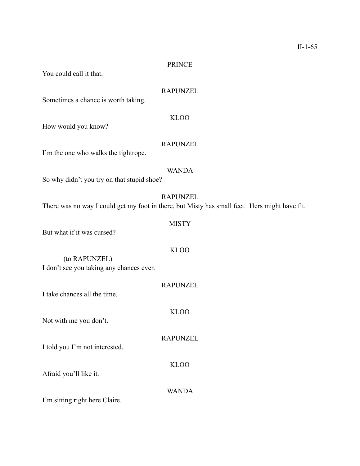## PRINCE

You could call it that.

# RAPUNZEL

Sometimes a chance is worth taking.

# KLOO

How would you know?

# RAPUNZEL

I'm the one who walks the tightrope.

# WANDA

So why didn't you try on that stupid shoe?

# RAPUNZEL

MISTY

KLOO

WANDA

There was no way I could get my foot in there, but Misty has small feet. Hers might have fit.

# But what if it was cursed?

 (to RAPUNZEL) I don't see you taking any chances ever.

| I take chances all the time    | <b>RAPUNZEL</b> |
|--------------------------------|-----------------|
| Not with me you don't.         | KLOO            |
| I told you I'm not interested. | <b>RAPUNZEL</b> |
| Afraid you'll like it.         | KLOO            |

I'm sitting right here Claire.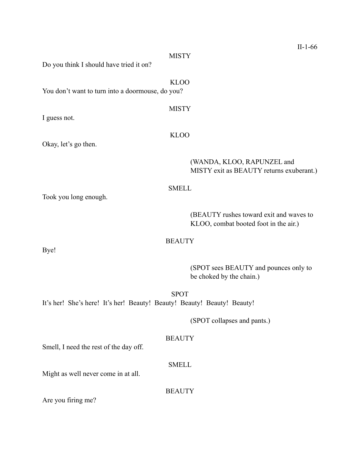|                                                                         | $II-1-66$                                                                        |
|-------------------------------------------------------------------------|----------------------------------------------------------------------------------|
| <b>MISTY</b><br>Do you think I should have tried it on?                 |                                                                                  |
| <b>KLOO</b><br>You don't want to turn into a doormouse, do you?         |                                                                                  |
|                                                                         |                                                                                  |
| <b>MISTY</b><br>I guess not.                                            |                                                                                  |
| <b>KLOO</b>                                                             |                                                                                  |
| Okay, let's go then.                                                    |                                                                                  |
|                                                                         | (WANDA, KLOO, RAPUNZEL and<br>MISTY exit as BEAUTY returns exuberant.)           |
| <b>SMELL</b>                                                            |                                                                                  |
| Took you long enough.                                                   |                                                                                  |
|                                                                         |                                                                                  |
|                                                                         | (BEAUTY rushes toward exit and waves to<br>KLOO, combat booted foot in the air.) |
| <b>BEAUTY</b>                                                           |                                                                                  |
| Bye!                                                                    |                                                                                  |
|                                                                         | (SPOT sees BEAUTY and pounces only to<br>be choked by the chain.)                |
| <b>SPOT</b>                                                             |                                                                                  |
| It's her! She's here! It's her! Beauty! Beauty! Beauty! Beauty! Beauty! |                                                                                  |
|                                                                         | (SPOT collapses and pants.)                                                      |
|                                                                         |                                                                                  |
| <b>BEAUTY</b><br>Smell, I need the rest of the day off.                 |                                                                                  |
| <b>SMELL</b>                                                            |                                                                                  |
| Might as well never come in at all.                                     |                                                                                  |
| <b>BEAUTY</b>                                                           |                                                                                  |
| Are you firing me?                                                      |                                                                                  |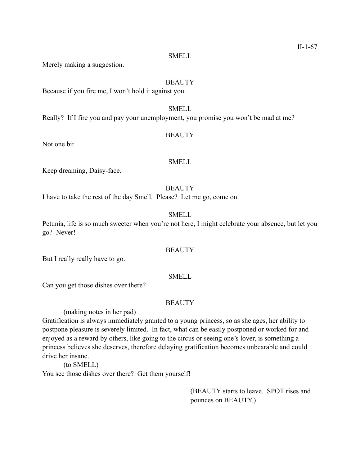#### SMELL

Merely making a suggestion.

## **BEAUTY**

Because if you fire me, I won't hold it against you.

# SMELL

Really? If I fire you and pay your unemployment, you promise you won't be mad at me?

# **BEAUTY**

Not one bit.

# SMELL

Keep dreaming, Daisy-face.

# **BEAUTY**

I have to take the rest of the day Smell. Please? Let me go, come on.

# SMELL

Petunia, life is so much sweeter when you're not here, I might celebrate your absence, but let you go? Never!

## **BEAUTY**

But I really really have to go.

# SMELL

Can you get those dishes over there?

# **BEAUTY**

(making notes in her pad)

Gratification is always immediately granted to a young princess, so as she ages, her ability to postpone pleasure is severely limited. In fact, what can be easily postponed or worked for and enjoyed as a reward by others, like going to the circus or seeing one's lover, is something a princess believes she deserves, therefore delaying gratification becomes unbearable and could drive her insane.

 (to SMELL) You see those dishes over there? Get them yourself!

> (BEAUTY starts to leave. SPOT rises and pounces on BEAUTY.)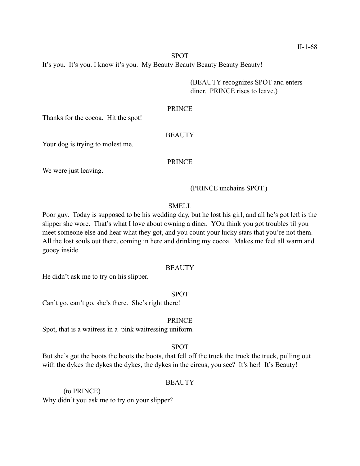#### SPOT

It's you. It's you. I know it's you. My Beauty Beauty Beauty Beauty Beauty!

 (BEAUTY recognizes SPOT and enters diner. PRINCE rises to leave.)

#### PRINCE

Thanks for the cocoa. Hit the spot!

## **BEAUTY**

Your dog is trying to molest me.

## PRINCE

We were just leaving.

## (PRINCE unchains SPOT.)

## SMELL

Poor guy. Today is supposed to be his wedding day, but he lost his girl, and all he's got left is the slipper she wore. That's what I love about owning a diner. YOu think you got troubles til you meet someone else and hear what they got, and you count your lucky stars that you're not them. All the lost souls out there, coming in here and drinking my cocoa. Makes me feel all warm and gooey inside.

#### **BEAUTY**

He didn't ask me to try on his slipper.

#### SPOT

Can't go, can't go, she's there. She's right there!

## PRINCE

Spot, that is a waitress in a pink waitressing uniform.

# SPOT

But she's got the boots the boots the boots, that fell off the truck the truck the truck, pulling out with the dykes the dykes the dykes, the dykes in the circus, you see? It's her! It's Beauty!

## **BEAUTY**

 (to PRINCE) Why didn't you ask me to try on your slipper?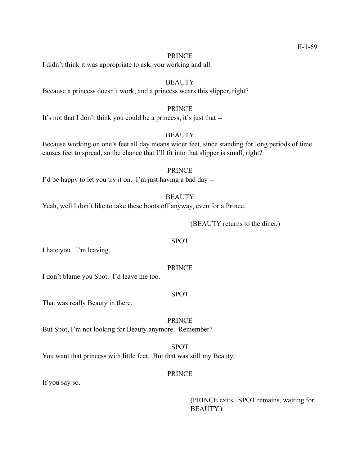#### PRINCE

I didn't think it was appropriate to ask, you working and all.

## **BEAUTY**

Because a princess doesn't work, and a princess wears this slipper, right?

# PRINCE

It's not that I don't think you could be a princess, it's just that --

## **BEAUTY**

Because working on one's feet all day means wider feet, since standing for long periods of time causes feet to spread, so the chance that I'll fit into that slipper is small, right?

#### PRINCE

I'd be happy to let you try it on. I'm just having a bad day --

## **BEAUTY**

Yeah, well I don't like to take these boots off anyway, even for a Prince.

(BEAUTY returns to the diner.)

#### SPOT

I hate you. I'm leaving.

#### PRINCE

I don't blame you Spot. I'd leave me too.

#### SPOT

That was really Beauty in there.

PRINCE But Spot, I'm not looking for Beauty anymore. Remember?

## SPOT

You want that princess with little feet. But that was still my Beauty.

# PRINCE

If you say so.

 (PRINCE exits. SPOT remains, waiting for BEAUTY.)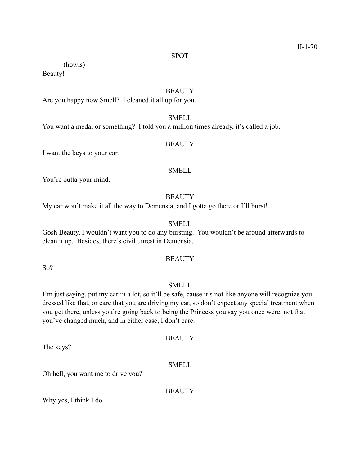#### SPOT

(howls)

Beauty!

# **BEAUTY**

Are you happy now Smell? I cleaned it all up for you.

# SMELL

You want a medal or something? I told you a million times already, it's called a job.

## **BEAUTY**

I want the keys to your car.

## SMELL

You're outta your mind.

## **BEAUTY**

My car won't make it all the way to Demensia, and I gotta go there or I'll burst!

# **SMELL**

Gosh Beauty, I wouldn't want you to do any bursting. You wouldn't be around afterwards to clean it up. Besides, there's civil unrest in Demensia.

# **BEAUTY**

So?

# SMELL

I'm just saying, put my car in a lot, so it'll be safe, cause it's not like anyone will recognize you dressed like that, or care that you are driving my car, so don't expect any special treatment when you get there, unless you're going back to being the Princess you say you once were, not that you've changed much, and in either case, I don't care.

The keys?

## SMELL

**BEAUTY** 

Oh hell, you want me to drive you?

**BEAUTY** 

Why yes, I think I do.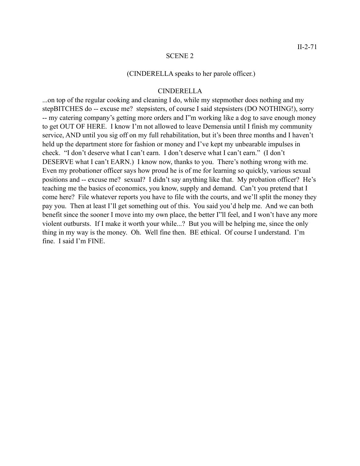#### (CINDERELLA speaks to her parole officer.)

# CINDERELLA

...on top of the regular cooking and cleaning I do, while my stepmother does nothing and my stepBITCHES do -- excuse me? stepsisters, of course I said stepsisters (DO NOTHING!), sorry -- my catering company's getting more orders and I"m working like a dog to save enough money to get OUT OF HERE. I know I'm not allowed to leave Demensia until I finish my community service, AND until you sig off on my full rehabilitation, but it's been three months and I haven't held up the department store for fashion or money and I've kept my unbearable impulses in check. "I don't deserve what I can't earn. I don't deserve what I can't earn." (I don't DESERVE what I can't EARN.) I know now, thanks to you. There's nothing wrong with me. Even my probationer officer says how proud he is of me for learning so quickly, various sexual positions and -- excuse me? sexual? I didn't say anything like that. My probation officer? He's teaching me the basics of economics, you know, supply and demand. Can't you pretend that I come here? File whatever reports you have to file with the courts, and we'll split the money they pay you. Then at least I'll get something out of this. You said you'd help me. And we can both benefit since the sooner I move into my own place, the better I''ll feel, and I won't have any more violent outbursts. If I make it worth your while...? But you will be helping me, since the only thing in my way is the money. Oh. Well fine then. BE ethical. Of course I understand. I'm fine. I said I'm FINE.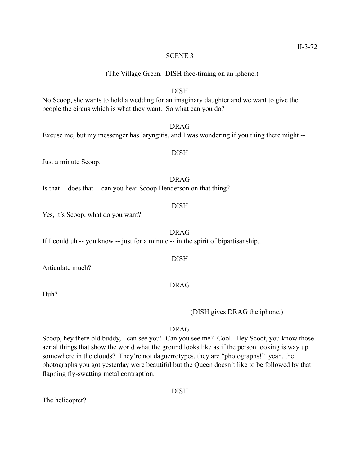(The Village Green. DISH face-timing on an iphone.)

# DISH

No Scoop, she wants to hold a wedding for an imaginary daughter and we want to give the people the circus which is what they want. So what can you do?

# DRAG

Excuse me, but my messenger has laryngitis, and I was wondering if you thing there might --

# DISH

Just a minute Scoop.

DRAG Is that -- does that -- can you hear Scoop Henderson on that thing?

#### DISH

Yes, it's Scoop, what do you want?

#### DRAG

DISH

If I could uh -- you know -- just for a minute -- in the spirit of bipartisanship...

Articulate much?

Huh?

# DRAG

(DISH gives DRAG the iphone.)

# DRAG

Scoop, hey there old buddy, I can see you! Can you see me? Cool. Hey Scoot, you know those aerial things that show the world what the ground looks like as if the person looking is way up somewhere in the clouds? They're not daguerrotypes, they are "photographs!" yeah, the photographs you got yesterday were beautiful but the Queen doesn't like to be followed by that flapping fly-swatting metal contraption.

The helicopter?

### DISH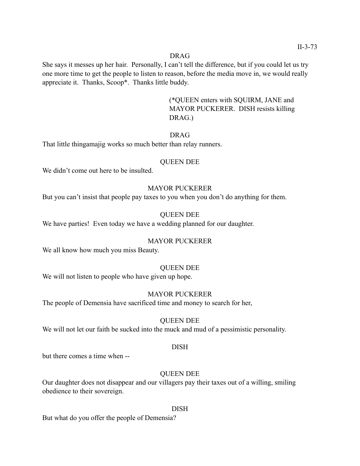### DRAG

She says it messes up her hair. Personally, I can't tell the difference, but if you could let us try one more time to get the people to listen to reason, before the media move in, we would really appreciate it. Thanks, Scoop\*. Thanks little buddy.

> (\*QUEEN enters with SQUIRM, JANE and MAYOR PUCKERER. DISH resists killing DRAG.)

# DRAG

That little thingamajig works so much better than relay runners.

### QUEEN DEE

We didn't come out here to be insulted.

# MAYOR PUCKERER

But you can't insist that people pay taxes to you when you don't do anything for them.

### QUEEN DEE

We have parties! Even today we have a wedding planned for our daughter.

### MAYOR PUCKERER

We all know how much you miss Beauty.

#### QUEEN DEE

We will not listen to people who have given up hope.

# MAYOR PUCKERER

The people of Demensia have sacrificed time and money to search for her,

# QUEEN DEE

We will not let our faith be sucked into the muck and mud of a pessimistic personality.

#### DISH

but there comes a time when --

# QUEEN DEE

Our daughter does not disappear and our villagers pay their taxes out of a willing, smiling obedience to their sovereign.

#### DISH

But what do you offer the people of Demensia?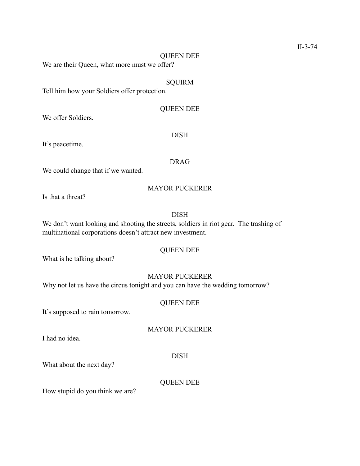#### QUEEN DEE

We are their Queen, what more must we offer?

# **SQUIRM**

Tell him how your Soldiers offer protection.

# QUEEN DEE

DISH

We offer Soldiers.

It's peacetime.

### DRAG

We could change that if we wanted.

# MAYOR PUCKERER

Is that a threat?

# DISH

We don't want looking and shooting the streets, soldiers in riot gear. The trashing of multinational corporations doesn't attract new investment.

# QUEEN DEE

What is he talking about?

# MAYOR PUCKERER

Why not let us have the circus tonight and you can have the wedding tomorrow?

# QUEEN DEE

It's supposed to rain tomorrow.

# MAYOR PUCKERER

I had no idea.

# DISH

What about the next day?

# QUEEN DEE

How stupid do you think we are?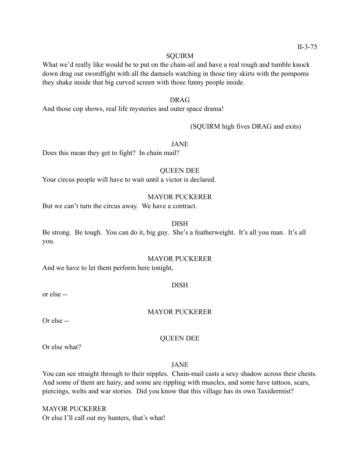#### **SOUIRM**

What we'd really like would be to put on the chain-ail and have a real rough and tumble knock down drag out swordfight with all the damsels watching in those tiny skirts with the pompoms they shake inside that big curved screen with those funny people inside.

# DRAG

And those cop shows, real life mysteries and outer space drama!

# (SQUIRM high fives DRAG and exits)

#### JANE

Does this mean they get to fight? In chain mail?

# QUEEN DEE Your circus people will have to wait until a victor is declared.

# MAYOR PUCKERER

But we can't turn the circus away. We have a contract.

# DISH

Be strong. Be tough. You can do it, big guy. She's a featherweight. It's all you man. It's all you.

#### MAYOR PUCKERER

And we have to let them perform here tonight,

# DISH

or else --

# MAYOR PUCKERER

Or else --

### QUEEN DEE

Or else what?

# JANE

You can see straight through to their nipples. Chain-mail casts a sexy shadow across their chests. And some of them are hairy, and some are rippling with muscles, and some have tattoos, scars, piercings, welts and war stories. Did you know that this village has its own Taxidermist?

MAYOR PUCKERER Or else I'll call out my hunters, that's what!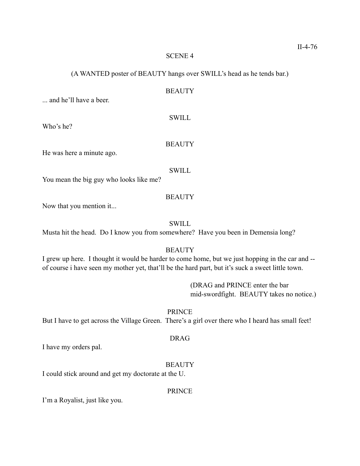# (A WANTED poster of BEAUTY hangs over SWILL's head as he tends bar.)

# **BEAUTY**

... and he'll have a beer.

# **SWILL**

Who's he?

### **BEAUTY**

He was here a minute ago.

#### SWILL

You mean the big guy who looks like me?

## **BEAUTY**

Now that you mention it...

# **SWILL**

Musta hit the head. Do I know you from somewhere? Have you been in Demensia long?

# **BEAUTY**

I grew up here. I thought it would be harder to come home, but we just hopping in the car and - of course i have seen my mother yet, that'll be the hard part, but it's suck a sweet little town.

> (DRAG and PRINCE enter the bar mid-swordfight. BEAUTY takes no notice.)

PRINCE

But I have to get across the Village Green. There's a girl over there who I heard has small feet!

# DRAG

I have my orders pal.

# **BEAUTY**

I could stick around and get my doctorate at the U.

# PRINCE

I'm a Royalist, just like you.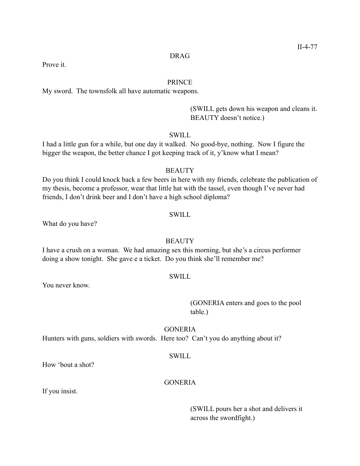# DRAG

Prove it.

#### PRINCE

My sword. The townsfolk all have automatic weapons.

 (SWILL gets down his weapon and cleans it. BEAUTY doesn't notice.)

#### SWILL

I had a little gun for a while, but one day it walked. No good-bye, nothing. Now I figure the bigger the weapon, the better chance I got keeping track of it, y'know what I mean?

#### **BEAUTY**

Do you think I could knock back a few beers in here with my friends, celebrate the publication of my thesis, become a professor, wear that little hat with the tassel, even though I've never had friends, I don't drink beer and I don't have a high school diploma?

# SWILL

What do you have?

# **BEAUTY**

I have a crush on a woman. We had amazing sex this morning, but she's a circus performer doing a show tonight. She gave e a ticket. Do you think she'll remember me?

# SWILL

You never know.

# (GONERIA enters and goes to the pool table.)

### GONERIA

Hunters with guns, soldiers with swords. Here too? Can't you do anything about it?

#### SWILL

How 'bout a shot?

# **GONERIA**

If you insist.

 (SWILL pours her a shot and delivers it across the swordfight.)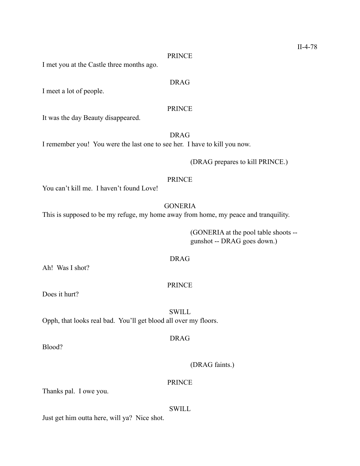#### PRINCE

I met you at the Castle three months ago.

# DRAG

I meet a lot of people.

# PRINCE

It was the day Beauty disappeared.

DRAG

I remember you! You were the last one to see her. I have to kill you now.

# (DRAG prepares to kill PRINCE.)

## PRINCE

You can't kill me. I haven't found Love!

# **GONERIA**

This is supposed to be my refuge, my home away from home, my peace and tranquility.

 (GONERIA at the pool table shoots - gunshot -- DRAG goes down.)

# DRAG

Ah! Was I shot?

# PRINCE

Does it hurt?

**SWILL** 

Opph, that looks real bad. You'll get blood all over my floors.

# DRAG

Blood?

(DRAG faints.)

# PRINCE

Thanks pal. I owe you.

# SWILL

Just get him outta here, will ya? Nice shot.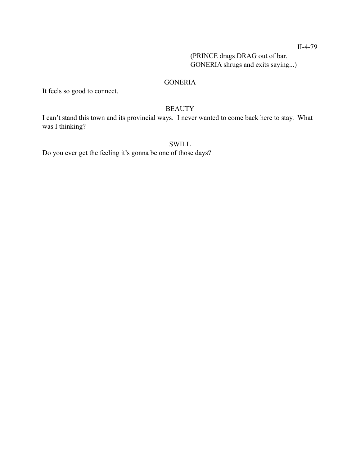II-4-79

 (PRINCE drags DRAG out of bar. GONERIA shrugs and exits saying...)

# GONERIA

It feels so good to connect.

# **BEAUTY**

I can't stand this town and its provincial ways. I never wanted to come back here to stay. What was I thinking?

# **SWILL**

Do you ever get the feeling it's gonna be one of those days?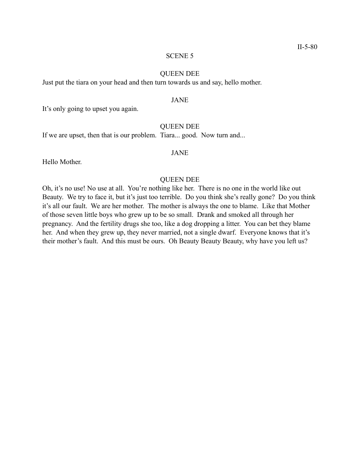#### QUEEN DEE

Just put the tiara on your head and then turn towards us and say, hello mother.

#### JANE

It's only going to upset you again.

# QUEEN DEE

If we are upset, then that is our problem. Tiara... good. Now turn and...

# JANE

Hello Mother.

# QUEEN DEE

Oh, it's no use! No use at all. You're nothing like her. There is no one in the world like out Beauty. We try to face it, but it's just too terrible. Do you think she's really gone? Do you think it's all our fault. We are her mother. The mother is always the one to blame. Like that Mother of those seven little boys who grew up to be so small. Drank and smoked all through her pregnancy. And the fertility drugs she too, like a dog dropping a litter. You can bet they blame her. And when they grew up, they never married, not a single dwarf. Everyone knows that it's their mother's fault. And this must be ours. Oh Beauty Beauty Beauty, why have you left us?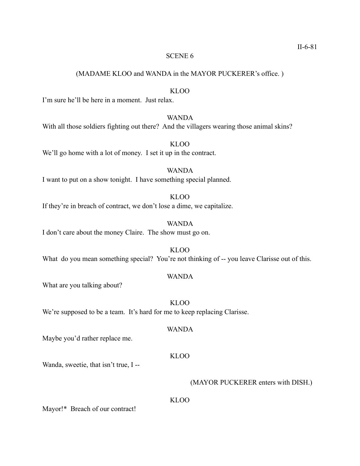(MADAME KLOO and WANDA in the MAYOR PUCKERER's office. )

# KLOO

I'm sure he'll be here in a moment. Just relax.

# WANDA

With all those soldiers fighting out there? And the villagers wearing those animal skins?

We'll go home with a lot of money. I set it up in the contract.

# WANDA I want to put on a show tonight. I have something special planned.

If they're in breach of contract, we don't lose a dime, we capitalize.

WANDA I don't care about the money Claire. The show must go on.

KLOO What do you mean something special? You're not thinking of -- you leave Clarisse out of this.

#### WANDA

What are you talking about?

KLOO We're supposed to be a team. It's hard for me to keep replacing Clarisse.

#### WANDA

Maybe you'd rather replace me.

#### KLOO

Wanda, sweetie, that isn't true, I --

#### (MAYOR PUCKERER enters with DISH.)

# KLOO

Mayor!\* Breach of our contract!

# KLOO

KLOO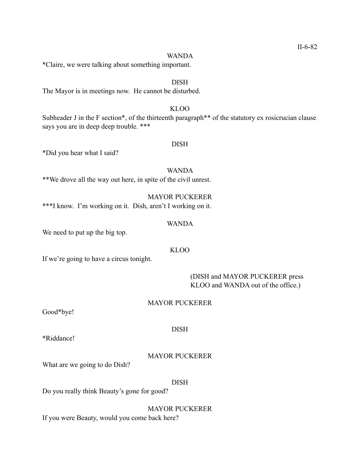#### WANDA

DISH

\*Claire, we were talking about something important.

The Mayor is in meetings now. He cannot be disturbed.

# KLOO

Subheader J in the F section\*, of the thirteenth paragraph\*\* of the statutory ex rosicrucian clause says you are in deep deep trouble. \*\*\*

DISH

\*Did you hear what I said?

WANDA \*\*We drove all the way out here, in spite of the civil unrest.

MAYOR PUCKERER \*\*\*I know. I'm working on it. Dish, aren't I working on it.

#### WANDA

We need to put up the big top.

# KLOO

If we're going to have a circus tonight.

 (DISH and MAYOR PUCKERER press KLOO and WANDA out of the office.)

#### MAYOR PUCKERER

Good\*bye!

#### DISH

\*Riddance!

# MAYOR PUCKERER

What are we going to do Dish?

# DISH

Do you really think Beauty's gone for good?

MAYOR PUCKERER If you were Beauty, would you come back here?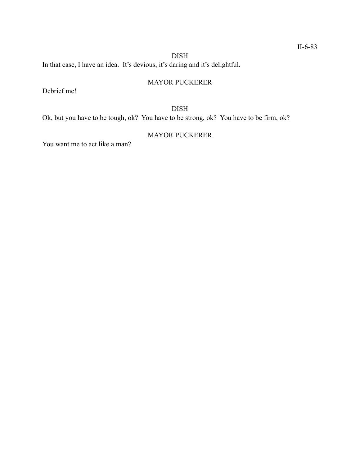# DISH

In that case, I have an idea. It's devious, it's daring and it's delightful.

# MAYOR PUCKERER

Debrief me!

# DISH

Ok, but you have to be tough, ok? You have to be strong, ok? You have to be firm, ok?

# MAYOR PUCKERER

You want me to act like a man?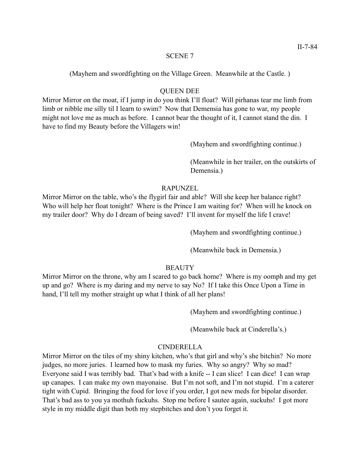(Mayhem and swordfighting on the Village Green. Meanwhile at the Castle. )

# QUEEN DEE

Mirror Mirror on the moat, if I jump in do you think I'll float? Will pirhanas tear me limb from limb or nibble me silly til I learn to swim? Now that Demensia has gone to war, my people might not love me as much as before. I cannot bear the thought of it, I cannot stand the din. I have to find my Beauty before the Villagers win!

(Mayhem and swordfighting continue.)

 (Meanwhile in her trailer, on the outskirts of Demensia.)

# RAPUNZEL

Mirror Mirror on the table, who's the flygirl fair and able? Will she keep her balance right? Who will help her float tonight? Where is the Prince I am waiting for? When will he knock on my trailer door? Why do I dream of being saved? I'll invent for myself the life I crave!

(Mayhem and swordfighting continue.)

(Meanwhile back in Demensia.)

# **BEAUTY**

Mirror Mirror on the throne, why am I scared to go back home? Where is my oomph and my get up and go? Where is my daring and my nerve to say No? If I take this Once Upon a Time in hand, I'll tell my mother straight up what I think of all her plans!

(Mayhem and swordfighting continue.)

(Meanwhile back at Cinderella's.)

# CINDERELLA

Mirror Mirror on the tiles of my shiny kitchen, who's that girl and why's she bitchin? No more judges, no more juries. I learned how to mask my furies. Why so angry? Why so mad? Everyone said I was terribly bad. That's bad with a knife -- I can slice! I can dice! I can wrap up canapes. I can make my own mayonaise. But I'm not soft, and I'm not stupid. I'm a caterer tight with Cupid. Bringing the food for love if you order, I got new meds for bipolar disorder. That's bad ass to you ya mothuh fuckuhs. Stop me before I sautee again, suckuhs! I got more style in my middle digit than both my stepbitches and don't you forget it.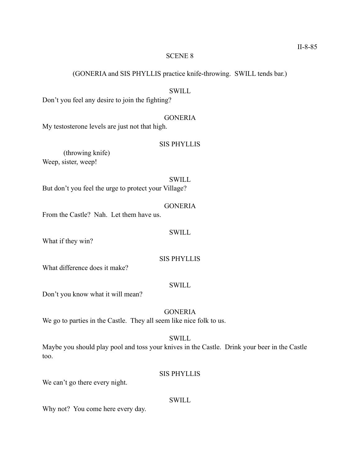(GONERIA and SIS PHYLLIS practice knife-throwing. SWILL tends bar.)

# **SWILL**

Don't you feel any desire to join the fighting?

# **GONERIA**

My testosterone levels are just not that high.

# SIS PHYLLIS

 (throwing knife) Weep, sister, weep!

**SWILL** But don't you feel the urge to protect your Village?

### GONERIA

From the Castle? Nah. Let them have us.

#### SWILL

What if they win?

# SIS PHYLLIS

What difference does it make?

# **SWILL**

Don't you know what it will mean?

# GONERIA

We go to parties in the Castle. They all seem like nice folk to us.

#### **SWILL**

Maybe you should play pool and toss your knives in the Castle. Drink your beer in the Castle too.

# SIS PHYLLIS

We can't go there every night.

# **SWILL**

Why not? You come here every day.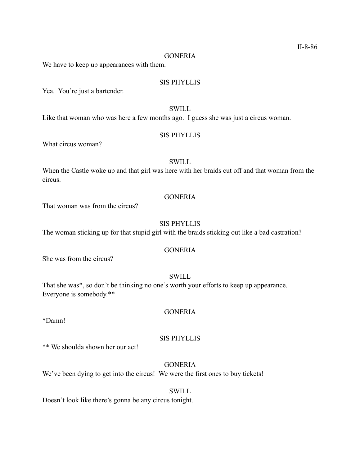#### **GONERIA**

We have to keep up appearances with them.

# SIS PHYLLIS

Yea. You're just a bartender.

# SWILL

Like that woman who was here a few months ago. I guess she was just a circus woman.

#### SIS PHYLLIS

What circus woman?

# **SWILL**

When the Castle woke up and that girl was here with her braids cut off and that woman from the circus.

# **GONERIA**

That woman was from the circus?

# SIS PHYLLIS

The woman sticking up for that stupid girl with the braids sticking out like a bad castration?

# **GONERIA**

She was from the circus?

# SWILL

That she was\*, so don't be thinking no one's worth your efforts to keep up appearance. Everyone is somebody.\*\*

# **GONERIA**

#### \*Damn!

# SIS PHYLLIS

\*\* We shoulda shown her our act!

# **GONERIA**

We've been dying to get into the circus! We were the first ones to buy tickets!

# SWILL

Doesn't look like there's gonna be any circus tonight.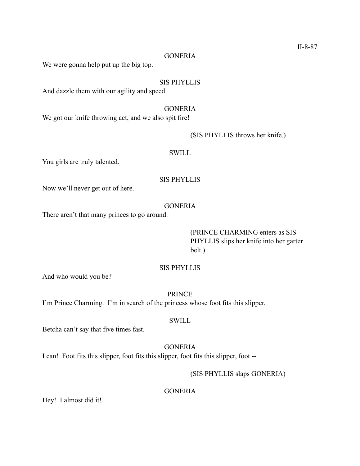#### **GONERIA**

We were gonna help put up the big top.

## SIS PHYLLIS

And dazzle them with our agility and speed.

**GONERIA** We got our knife throwing act, and we also spit fire!

#### (SIS PHYLLIS throws her knife.)

# **SWILL**

You girls are truly talented.

#### SIS PHYLLIS

Now we'll never get out of here.

# GONERIA

There aren't that many princes to go around.

# (PRINCE CHARMING enters as SIS PHYLLIS slips her knife into her garter belt.)

# SIS PHYLLIS

And who would you be?

PRINCE

I'm Prince Charming. I'm in search of the princess whose foot fits this slipper.

# **SWILL**

Betcha can't say that five times fast.

# **GONERIA**

I can! Foot fits this slipper, foot fits this slipper, foot fits this slipper, foot --

# (SIS PHYLLIS slaps GONERIA)

**GONERIA** 

Hey! I almost did it!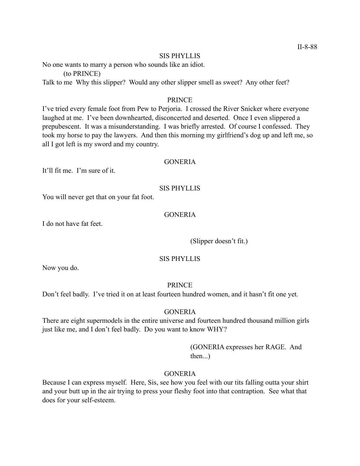#### SIS PHYLLIS

No one wants to marry a person who sounds like an idiot.

(to PRINCE)

Talk to me Why this slipper? Would any other slipper smell as sweet? Any other feet?

### PRINCE

I've tried every female foot from Pew to Perjoria. I crossed the River Snicker where everyone laughed at me. I've been downhearted, disconcerted and deserted. Once I even slippered a prepubescent. It was a misunderstanding. I was briefly arrested. Of course I confessed. They took my horse to pay the lawyers. And then this morning my girlfriend's dog up and left me, so all I got left is my sword and my country.

# **GONERIA**

It'll fit me. I'm sure of it.

# SIS PHYLLIS

You will never get that on your fat foot.

# **GONERIA**

I do not have fat feet.

(Slipper doesn't fit.)

# SIS PHYLLIS

Now you do.

### PRINCE

Don't feel badly. I've tried it on at least fourteen hundred women, and it hasn't fit one yet.

# **GONERIA**

There are eight supermodels in the entire universe and fourteen hundred thousand million girls just like me, and I don't feel badly. Do you want to know WHY?

> (GONERIA expresses her RAGE. And then...)

# GONERIA

Because I can express myself. Here, Sis, see how you feel with our tits falling outta your shirt and your butt up in the air trying to press your fleshy foot into that contraption. See what that does for your self-esteem.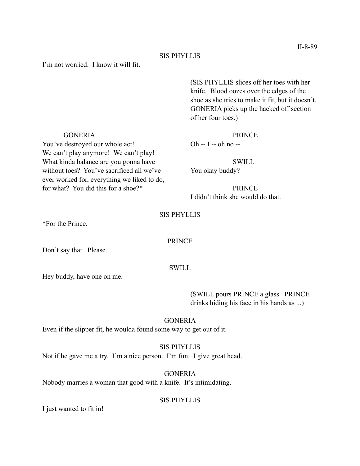# SIS PHYLLIS

# I'm not worried. I know it will fit.

 (SIS PHYLLIS slices off her toes with her knife. Blood oozes over the edges of the shoe as she tries to make it fit, but it doesn't. GONERIA picks up the hacked off section of her four toes.)

#### GONERIA PRINCE

I didn't think she would do that.

#### SIS PHYLLIS

\*For the Prince.

#### PRINCE

Don't say that. Please.

#### SWILL

Hey buddy, have one on me.

 (SWILL pours PRINCE a glass. PRINCE drinks hiding his face in his hands as ...)

# GONERIA

Even if the slipper fit, he woulda found some way to get out of it.

SIS PHYLLIS

Not if he gave me a try. I'm a nice person. I'm fun. I give great head.

GONERIA Nobody marries a woman that good with a knife. It's intimidating.

#### SIS PHYLLIS

I just wanted to fit in!

You've destroyed our whole act! Oh -- I -- oh no --We can't play anymore! We can't play! What kinda balance are you gonna have SWILL without toes? You've sacrificed all we've You okay buddy? ever worked for, everything we liked to do, for what? You did this for a shoe?\* PRINCE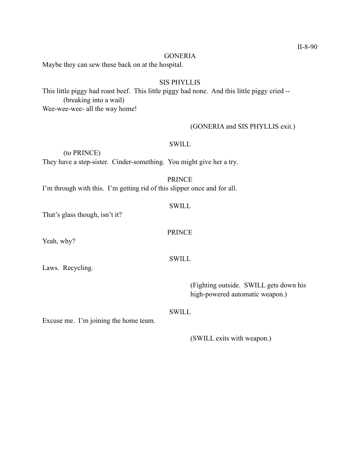#### **GONERIA**

Maybe they can sew these back on at the hospital.

# SIS PHYLLIS

This little piggy had roast beef. This little piggy had none. And this little piggy cried -- (breaking into a wail) Wee-wee-wee- all the way home!

# (GONERIA and SIS PHYLLIS exit.)

# **SWILL**

 (to PRINCE) They have a step-sister. Cinder-something. You might give her a try.

# PRINCE

PRINCE

**SWILL** 

I'm through with this. I'm getting rid of this slipper once and for all.

# **SWILL**

That's glass though, isn't it?

Yeah, why?

Laws. Recycling.

 (Fighting outside. SWILL gets down his high-powered automatic weapon.)

# **SWILL**

Excuse me. I'm joining the home team.

(SWILL exits with weapon.)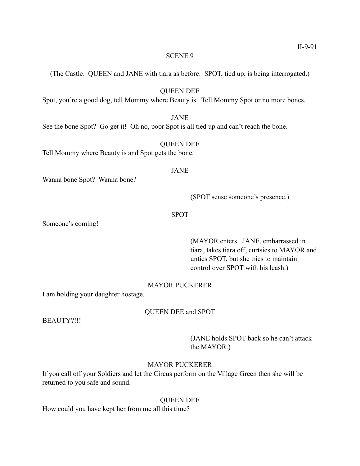(The Castle. QUEEN and JANE with tiara as before. SPOT, tied up, is being interrogated.)

# QUEEN DEE

Spot, you're a good dog, tell Mommy where Beauty is. Tell Mommy Spot or no more bones.

# JANE

See the bone Spot? Go get it! Oh no, poor Spot is all tied up and can't reach the bone.

# QUEEN DEE

Tell Mommy where Beauty is and Spot gets the bone.

### JANE

Wanna bone Spot? Wanna bone?

(SPOT sense someone's presence.)

# SPOT

Someone's coming!

# (MAYOR enters. JANE, embarrassed in tiara, takes tiara off, curtsies to MAYOR and unties SPOT, but she tries to maintain control over SPOT with his leash.)

# MAYOR PUCKERER

I am holding your daughter hostage.

# QUEEN DEE and SPOT

BEAUTY?!!!

 (JANE holds SPOT back so he can't attack the MAYOR.)

# MAYOR PUCKERER

If you call off your Soldiers and let the Circus perform on the Village Green then she will be returned to you safe and sound.

# QUEEN DEE

How could you have kept her from me all this time?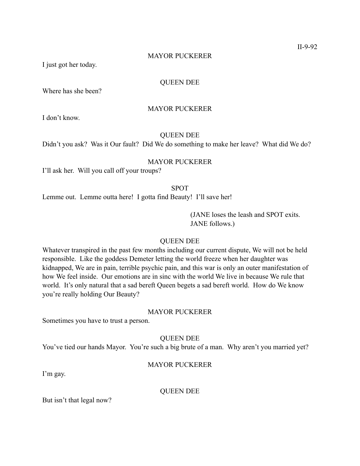# MAYOR PUCKERER

I just got her today.

# QUEEN DEE

Where has she been?

# MAYOR PUCKERER

I don't know.

# QUEEN DEE

Didn't you ask? Was it Our fault? Did We do something to make her leave? What did We do?

# MAYOR PUCKERER

I'll ask her. Will you call off your troups?

# SPOT

Lemme out. Lemme outta here! I gotta find Beauty! I'll save her!

 (JANE loses the leash and SPOT exits. JANE follows.)

### QUEEN DEE

Whatever transpired in the past few months including our current dispute, We will not be held responsible. Like the goddess Demeter letting the world freeze when her daughter was kidnapped, We are in pain, terrible psychic pain, and this war is only an outer manifestation of how We feel inside. Our emotions are in sinc with the world We live in because We rule that world. It's only natural that a sad bereft Queen begets a sad bereft world. How do We know you're really holding Our Beauty?

# MAYOR PUCKERER

Sometimes you have to trust a person.

QUEEN DEE

You've tied our hands Mayor. You're such a big brute of a man. Why aren't you married yet?

# MAYOR PUCKERER

I'm gay.

QUEEN DEE

But isn't that legal now?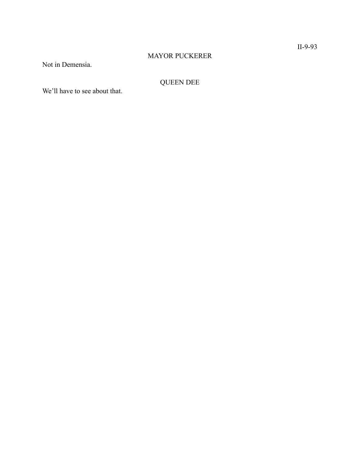# MAYOR PUCKERER

Not in Demensia.

# QUEEN DEE

We'll have to see about that.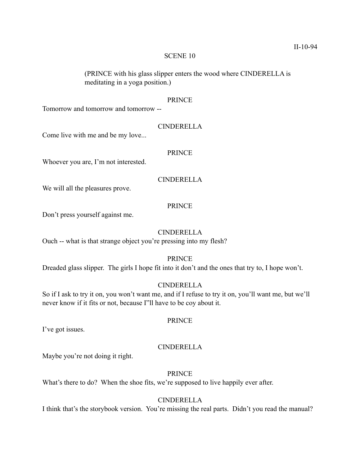(PRINCE with his glass slipper enters the wood where CINDERELLA is meditating in a yoga position.)

#### PRINCE

Tomorrow and tomorrow and tomorrow --

### CINDERELLA

Come live with me and be my love...

# PRINCE

Whoever you are, I'm not interested.

#### CINDERELLA

We will all the pleasures prove.

# PRINCE

Don't press yourself against me.

# CINDERELLA

Ouch -- what is that strange object you're pressing into my flesh?

# PRINCE

Dreaded glass slipper. The girls I hope fit into it don't and the ones that try to, I hope won't.

# CINDERELLA

So if I ask to try it on, you won't want me, and if I refuse to try it on, you'll want me, but we'll never know if it fits or not, because I"ll have to be coy about it.

# PRINCE

I've got issues.

# CINDERELLA

Maybe you're not doing it right.

# PRINCE

What's there to do? When the shoe fits, we're supposed to live happily ever after.

# CINDERELLA

I think that's the storybook version. You're missing the real parts. Didn't you read the manual?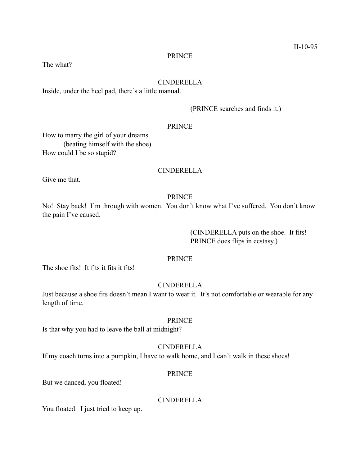#### PRINCE

The what?

#### CINDERELLA

Inside, under the heel pad, there's a little manual.

(PRINCE searches and finds it.)

# PRINCE

How to marry the girl of your dreams. (beating himself with the shoe) How could I be so stupid?

#### CINDERELLA

Give me that.

## PRINCE

No! Stay back! I'm through with women. You don't know what I've suffered. You don't know the pain I've caused.

> (CINDERELLA puts on the shoe. It fits! PRINCE does flips in ecstasy.)

# PRINCE

The shoe fits! It fits it fits it fits!

# CINDERELLA

Just because a shoe fits doesn't mean I want to wear it. It's not comfortable or wearable for any length of time.

# PRINCE

Is that why you had to leave the ball at midnight?

# CINDERELLA

If my coach turns into a pumpkin, I have to walk home, and I can't walk in these shoes!

#### PRINCE

But we danced, you floated!

# CINDERELLA

You floated. I just tried to keep up.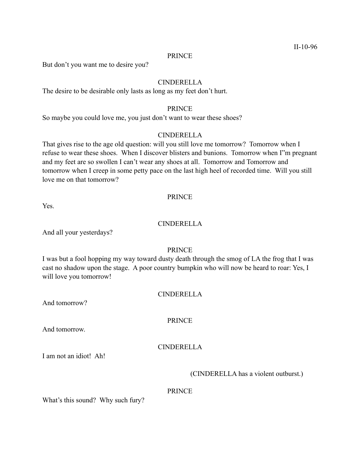#### PRINCE

But don't you want me to desire you?

## CINDERELLA

The desire to be desirable only lasts as long as my feet don't hurt.

# PRINCE

So maybe you could love me, you just don't want to wear these shoes?

#### CINDERELLA

That gives rise to the age old question: will you still love me tomorrow? Tomorrow when I refuse to wear these shoes. When I discover blisters and bunions. Tomorrow when I"m pregnant and my feet are so swollen I can't wear any shoes at all. Tomorrow and Tomorrow and tomorrow when I creep in some petty pace on the last high heel of recorded time. Will you still love me on that tomorrow?

#### PRINCE

Yes.

# CINDERELLA

And all your yesterdays?

# PRINCE

I was but a fool hopping my way toward dusty death through the smog of LA the frog that I was cast no shadow upon the stage. A poor country bumpkin who will now be heard to roar: Yes, I will love you tomorrow!

#### CINDERELLA

And tomorrow?

PRINCE

And tomorrow.

# CINDERELLA

I am not an idiot! Ah!

(CINDERELLA has a violent outburst.)

# PRINCE

What's this sound? Why such fury?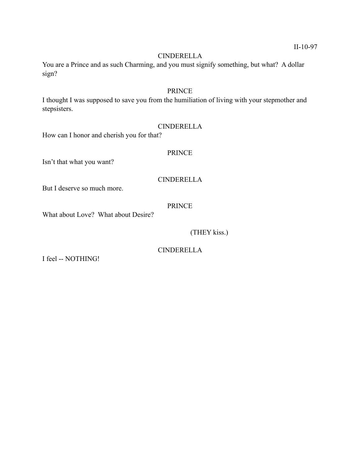# CINDERELLA

You are a Prince and as such Charming, and you must signify something, but what? A dollar sign?

# PRINCE

I thought I was supposed to save you from the humiliation of living with your stepmother and stepsisters.

# CINDERELLA

How can I honor and cherish you for that?

# PRINCE

Isn't that what you want?

# CINDERELLA

But I deserve so much more.

# PRINCE

CINDERELLA

What about Love? What about Desire?

(THEY kiss.)

I feel -- NOTHING!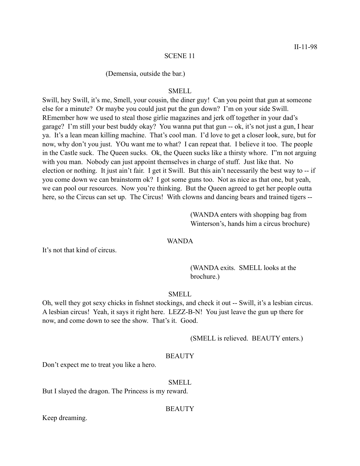#### (Demensia, outside the bar.)

# SMELL

Swill, hey Swill, it's me, Smell, your cousin, the diner guy! Can you point that gun at someone else for a minute? Or maybe you could just put the gun down? I'm on your side Swill. REmember how we used to steal those girlie magazines and jerk off together in your dad's garage? I'm still your best buddy okay? You wanna put that gun -- ok, it's not just a gun, I hear ya. It's a lean mean killing machine. That's cool man. I'd love to get a closer look, sure, but for now, why don't you just. YOu want me to what? I can repeat that. I believe it too. The people in the Castle suck. The Queen sucks. Ok, the Queen sucks like a thirsty whore. I"m not arguing with you man. Nobody can just appoint themselves in charge of stuff. Just like that. No election or nothing. It just ain't fair. I get it Swill. But this ain't necessarily the best way to -- if you come down we can brainstorm ok? I got some guns too. Not as nice as that one, but yeah, we can pool our resources. Now you're thinking. But the Queen agreed to get her people outta here, so the Circus can set up. The Circus! With clowns and dancing bears and trained tigers --

> (WANDA enters with shopping bag from Winterson's, hands him a circus brochure)

#### WANDA

It's not that kind of circus.

 (WANDA exits. SMELL looks at the brochure.)

#### SMELL

Oh, well they got sexy chicks in fishnet stockings, and check it out -- Swill, it's a lesbian circus. A lesbian circus! Yeah, it says it right here. LEZZ-B-N! You just leave the gun up there for now, and come down to see the show. That's it. Good.

(SMELL is relieved. BEAUTY enters.)

# **BEAUTY**

Don't expect me to treat you like a hero.

#### SMELL

But I slayed the dragon. The Princess is my reward.

#### **BEAUTY**

Keep dreaming.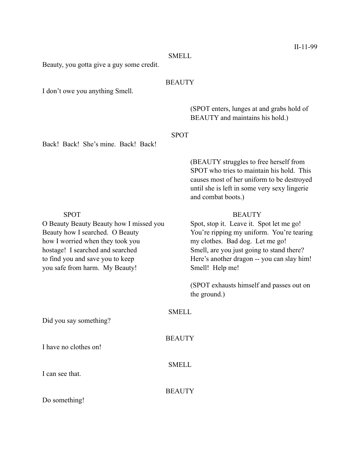#### SMELL

Beauty, you gotta give a guy some credit.

# **BEAUTY**

I don't owe you anything Smell.

 (SPOT enters, lunges at and grabs hold of BEAUTY and maintains his hold.)

Back! Back! She's mine. Back! Back!

# SPOT

 (BEAUTY struggles to free herself from SPOT who tries to maintain his hold. This causes most of her uniform to be destroyed until she is left in some very sexy lingerie and combat boots.)

how I worried when they took you my clothes. Bad dog. Let me go! hostage! I searched and searched Smell, are you just going to stand there? you safe from harm. My Beauty! Smell! Help me!

#### SPOT BEAUTY

O Beauty Beauty Beauty how I missed you Spot, stop it. Leave it. Spot let me go! Beauty how I searched. O Beauty You're ripping my uniform. You're tearing to find you and save you to keep Here's another dragon -- you can slay him!

> (SPOT exhausts himself and passes out on the ground.)

# SMELL

**BEAUTY** 

SMELL

Did you say something?

I have no clothes on!

I can see that.

**BEAUTY** 

Do something!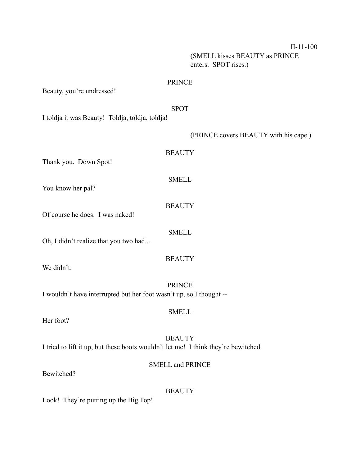II-11-100 (SMELL kisses BEAUTY as PRINCE

enters. SPOT rises.)

# PRINCE

Beauty, you're undressed!

#### SPOT

I toldja it was Beauty! Toldja, toldja, toldja!

(PRINCE covers BEAUTY with his cape.)

# **BEAUTY**

Thank you. Down Spot!

# SMELL

**BEAUTY** 

Of course he does. I was naked!

Oh, I didn't realize that you two had...

We didn't.

PRINCE I wouldn't have interrupted but her foot wasn't up, so I thought --

Her foot?

**BEAUTY** I tried to lift it up, but these boots wouldn't let me! I think they're bewitched.

# SMELL and PRINCE

Bewitched?

# **BEAUTY**

Look! They're putting up the Big Top!

# You know her pal?

SMELL

**BEAUTY** 

**SMELL**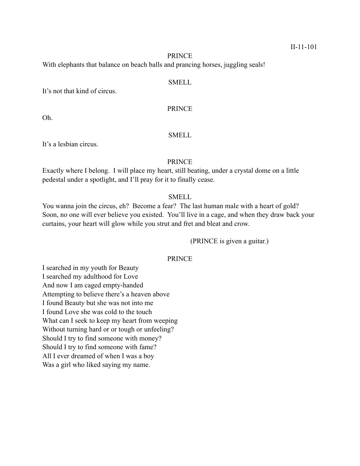#### PRINCE

With elephants that balance on beach balls and prancing horses, juggling seals!

# SMELL

It's not that kind of circus.

PRINCE

Oh.

# SMELL

It's a lesbian circus.

# PRINCE

Exactly where I belong. I will place my heart, still beating, under a crystal dome on a little pedestal under a spotlight, and I'll pray for it to finally cease.

# SMELL

You wanna join the circus, eh? Become a fear? The last human male with a heart of gold? Soon, no one will ever believe you existed. You'll live in a cage, and when they draw back your curtains, your heart will glow while you strut and fret and bleat and crow.

(PRINCE is given a guitar.)

# PRINCE

I searched in my youth for Beauty I searched my adulthood for Love And now I am caged empty-handed Attempting to believe there's a heaven above I found Beauty but she was not into me I found Love she was cold to the touch What can I seek to keep my heart from weeping Without turning hard or or tough or unfeeling? Should I try to find someone with money? Should I try to find someone with fame? All I ever dreamed of when I was a boy Was a girl who liked saying my name.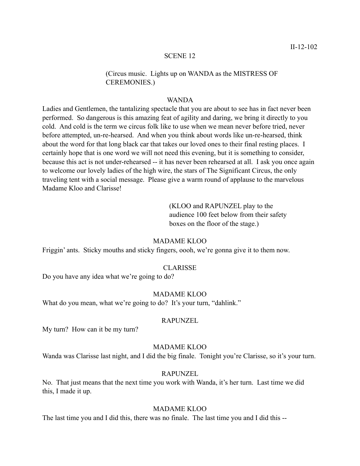# (Circus music. Lights up on WANDA as the MISTRESS OF CEREMONIES.)

#### WANDA

Ladies and Gentlemen, the tantalizing spectacle that you are about to see has in fact never been performed. So dangerous is this amazing feat of agility and daring, we bring it directly to you cold. And cold is the term we circus folk like to use when we mean never before tried, never before attempted, un-re-hearsed. And when you think about words like un-re-hearsed, think about the word for that long black car that takes our loved ones to their final resting places. I certainly hope that is one word we will not need this evening, but it is something to consider, because this act is not under-rehearsed -- it has never been rehearsed at all. I ask you once again to welcome our lovely ladies of the high wire, the stars of The Significant Circus, the only traveling tent with a social message. Please give a warm round of applause to the marvelous Madame Kloo and Clarisse!

> (KLOO and RAPUNZEL play to the audience 100 feet below from their safety boxes on the floor of the stage.)

#### MADAME KLOO

Friggin' ants. Sticky mouths and sticky fingers, oooh, we're gonna give it to them now.

#### CLARISSE

Do you have any idea what we're going to do?

# MADAME KLOO

What do you mean, what we're going to do? It's your turn, "dahlink."

# RAPUNZEL

My turn? How can it be my turn?

# MADAME KLOO

Wanda was Clarisse last night, and I did the big finale. Tonight you're Clarisse, so it's your turn.

# RAPUNZEL

No. That just means that the next time you work with Wanda, it's her turn. Last time we did this, I made it up.

# MADAME KLOO

The last time you and I did this, there was no finale. The last time you and I did this --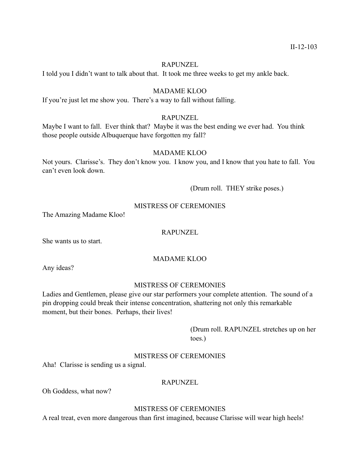# RAPUNZEL

I told you I didn't want to talk about that. It took me three weeks to get my ankle back.

# MADAME KLOO

If you're just let me show you. There's a way to fall without falling.

# RAPUNZEL

Maybe I want to fall. Ever think that? Maybe it was the best ending we ever had. You think those people outside Albuquerque have forgotten my fall?

# MADAME KLOO

Not yours. Clarisse's. They don't know you. I know you, and I know that you hate to fall. You can't even look down.

(Drum roll. THEY strike poses.)

### MISTRESS OF CEREMONIES

The Amazing Madame Kloo!

#### RAPUNZEL

She wants us to start.

# MADAME KLOO

Any ideas?

### MISTRESS OF CEREMONIES

Ladies and Gentlemen, please give our star performers your complete attention. The sound of a pin dropping could break their intense concentration, shattering not only this remarkable moment, but their bones. Perhaps, their lives!

 (Drum roll. RAPUNZEL stretches up on her toes.)

# MISTRESS OF CEREMONIES

Aha! Clarisse is sending us a signal.

### RAPUNZEL

Oh Goddess, what now?

# MISTRESS OF CEREMONIES

A real treat, even more dangerous than first imagined, because Clarisse will wear high heels!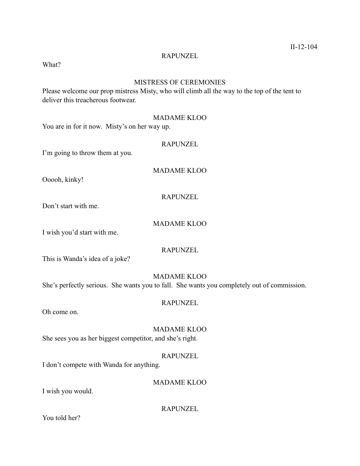#### RAPUNZEL

What?

# MISTRESS OF CEREMONIES

Please welcome our prop mistress Misty, who will climb all the way to the top of the tent to deliver this treacherous footwear.

# MADAME KLOO

You are in for it now. Misty's on her way up.

# RAPUNZEL

I'm going to throw them at you.

### MADAME KLOO

Ooooh, kinky!

## RAPUNZEL

Don't start with me.

# MADAME KLOO

I wish you'd start with me.

# RAPUNZEL

This is Wanda's idea of a joke?

# MADAME KLOO

She's perfectly serious. She wants you to fall. She wants you completely out of commission.

#### RAPUNZEL

Oh come on.

# MADAME KLOO

She sees you as her biggest competitor, and she's right.

# RAPUNZEL

I don't compete with Wanda for anything.

# MADAME KLOO

I wish you would.

RAPUNZEL

You told her?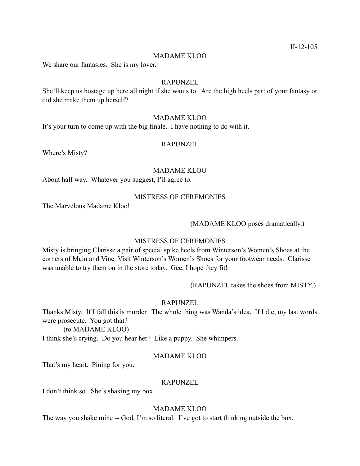#### MADAME KLOO

We share our fantasies. She is my lover.

#### RAPUNZEL

She'll keep us hostage up here all night if she wants to. Are the high heels part of your fantasy or did she make them up herself?

# MADAME KLOO

It's your turn to come up with the big finale. I have nothing to do with it.

#### RAPUNZEL

Where's Misty?

#### MADAME KLOO

About half way. Whatever you suggest, I'll agree to.

#### MISTRESS OF CEREMONIES

The Marvelous Madame Kloo!

# (MADAME KLOO poses dramatically.)

#### MISTRESS OF CEREMONIES

Misty is bringing Clarisse a pair of special spike heels from Winterson's Women's Shoes at the corners of Main and Vine. Visit Winterson's Women's Shoes for your footwear needs. Clarisse was unable to try them on in the store today. Gee, I hope they fit!

(RAPUNZEL takes the shoes from MISTY.)

### RAPUNZEL

Thanks Misty. If I fall this is murder. The whole thing was Wanda's idea. If I die, my last words were prosecute. You got that?

 (to MADAME KLOO) I think she's crying. Do you hear her? Like a puppy. She whimpers.

#### MADAME KLOO

That's my heart. Pining for you.

### RAPUNZEL

I don't think so. She's shaking my box.

# MADAME KLOO

The way you shake mine -- God, I'm so literal. I've got to start thinking outside the box.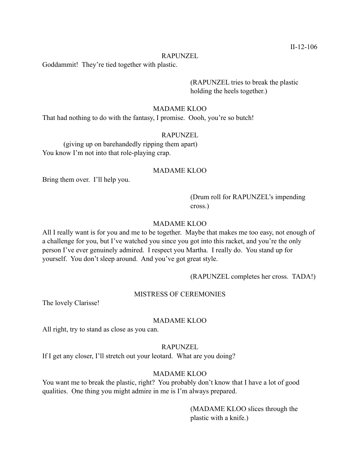#### RAPUNZEL

Goddammit! They're tied together with plastic.

 (RAPUNZEL tries to break the plastic holding the heels together.)

#### MADAME KLOO

That had nothing to do with the fantasy, I promise. Oooh, you're so butch!

#### RAPUNZEL

 (giving up on barehandedly ripping them apart) You know I'm not into that role-playing crap.

#### MADAME KLOO

Bring them over. I'll help you.

 (Drum roll for RAPUNZEL's impending cross.)

# MADAME KLOO

All I really want is for you and me to be together. Maybe that makes me too easy, not enough of a challenge for you, but I've watched you since you got into this racket, and you're the only person I've ever genuinely admired. I respect you Martha. I really do. You stand up for yourself. You don't sleep around. And you've got great style.

(RAPUNZEL completes her cross. TADA!)

#### MISTRESS OF CEREMONIES

The lovely Clarisse!

#### MADAME KLOO

All right, try to stand as close as you can.

#### RAPUNZEL

If I get any closer, I'll stretch out your leotard. What are you doing?

# MADAME KLOO

You want me to break the plastic, right? You probably don't know that I have a lot of good qualities. One thing you might admire in me is I'm always prepared.

> (MADAME KLOO slices through the plastic with a knife.)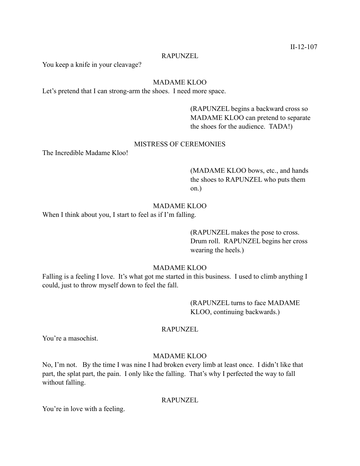#### RAPUNZEL

You keep a knife in your cleavage?

# MADAME KLOO

Let's pretend that I can strong-arm the shoes. I need more space.

 (RAPUNZEL begins a backward cross so MADAME KLOO can pretend to separate the shoes for the audience. TADA!)

# MISTRESS OF CEREMONIES

The Incredible Madame Kloo!

 (MADAME KLOO bows, etc., and hands the shoes to RAPUNZEL who puts them on.)

# MADAME KLOO

When I think about you, I start to feel as if I'm falling.

 (RAPUNZEL makes the pose to cross. Drum roll. RAPUNZEL begins her cross wearing the heels.)

# MADAME KLOO

Falling is a feeling I love. It's what got me started in this business. I used to climb anything I could, just to throw myself down to feel the fall.

> (RAPUNZEL turns to face MADAME KLOO, continuing backwards.)

#### RAPUNZEL

You're a masochist.

# MADAME KLOO

No, I'm not. By the time I was nine I had broken every limb at least once. I didn't like that part, the splat part, the pain. I only like the falling. That's why I perfected the way to fall without falling.

#### RAPUNZEL

You're in love with a feeling.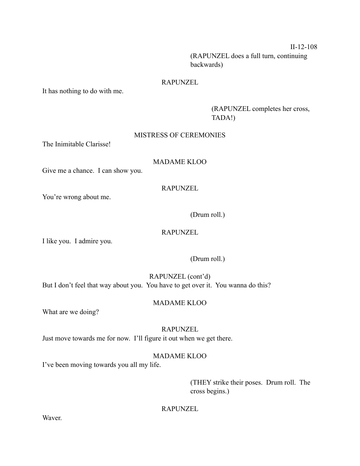II-12-108

 (RAPUNZEL does a full turn, continuing backwards)

# RAPUNZEL

It has nothing to do with me.

 (RAPUNZEL completes her cross, TADA!)

# MISTRESS OF CEREMONIES

The Inimitable Clarisse!

# MADAME KLOO

Give me a chance. I can show you.

# RAPUNZEL

You're wrong about me.

(Drum roll.)

# RAPUNZEL

I like you. I admire you.

# (Drum roll.)

RAPUNZEL (cont'd) But I don't feel that way about you. You have to get over it. You wanna do this?

# MADAME KLOO

What are we doing?

# RAPUNZEL

Just move towards me for now. I'll figure it out when we get there.

# MADAME KLOO

I've been moving towards you all my life.

 (THEY strike their poses. Drum roll. The cross begins.)

# RAPUNZEL

Waver.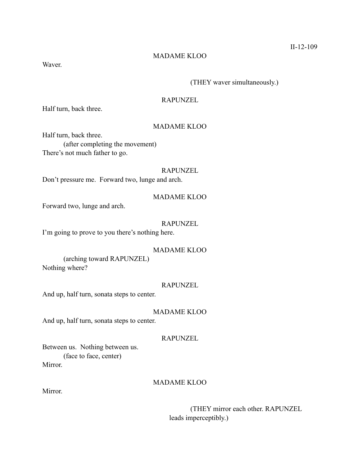# MADAME KLOO

Waver.

# (THEY waver simultaneously.)

# RAPUNZEL

Half turn, back three.

# MADAME KLOO

Half turn, back three. (after completing the movement) There's not much father to go.

### RAPUNZEL

Don't pressure me. Forward two, lunge and arch.

# MADAME KLOO

Forward two, lunge and arch.

# RAPUNZEL

I'm going to prove to you there's nothing here.

# MADAME KLOO

 (arching toward RAPUNZEL) Nothing where?

### RAPUNZEL

And up, half turn, sonata steps to center.

MADAME KLOO

And up, half turn, sonata steps to center.

# RAPUNZEL

Between us. Nothing between us. (face to face, center) Mirror.

# MADAME KLOO

Mirror.

 (THEY mirror each other. RAPUNZEL leads imperceptibly.)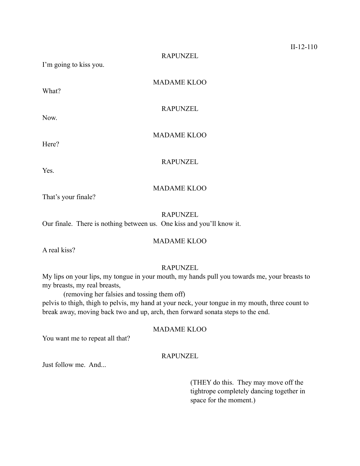RAPUNZEL

I'm going to kiss you.

What?

Now.

Here?

MADAME KLOO

RAPUNZEL

MADAME KLOO

RAPUNZEL

Yes.

# MADAME KLOO

That's your finale?

RAPUNZEL

Our finale. There is nothing between us. One kiss and you'll know it.

# MADAME KLOO

A real kiss?

# RAPUNZEL

My lips on your lips, my tongue in your mouth, my hands pull you towards me, your breasts to my breasts, my real breasts,

(removing her falsies and tossing them off)

pelvis to thigh, thigh to pelvis, my hand at your neck, your tongue in my mouth, three count to break away, moving back two and up, arch, then forward sonata steps to the end.

# MADAME KLOO

You want me to repeat all that?

# RAPUNZEL

Just follow me. And...

 (THEY do this. They may move off the tightrope completely dancing together in space for the moment.)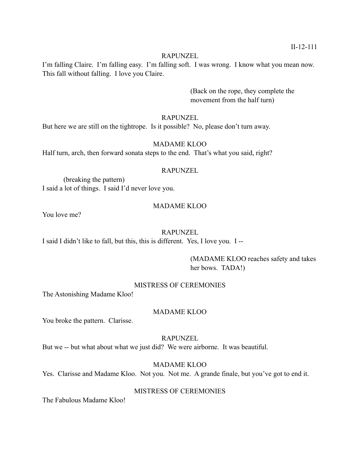# RAPUNZEL

I'm falling Claire. I'm falling easy. I'm falling soft. I was wrong. I know what you mean now. This fall without falling. I love you Claire.

> (Back on the rope, they complete the movement from the half turn)

# RAPUNZEL

But here we are still on the tightrope. Is it possible? No, please don't turn away.

# MADAME KLOO

Half turn, arch, then forward sonata steps to the end. That's what you said, right?

### RAPUNZEL

 (breaking the pattern) I said a lot of things. I said I'd never love you.

# MADAME KLOO

You love me?

### RAPUNZEL

I said I didn't like to fall, but this, this is different. Yes, I love you. I --

 (MADAME KLOO reaches safety and takes her bows. TADA!)

# MISTRESS OF CEREMONIES

The Astonishing Madame Kloo!

# MADAME KLOO

You broke the pattern. Clarisse.

# RAPUNZEL

But we -- but what about what we just did? We were airborne. It was beautiful.

# MADAME KLOO

Yes. Clarisse and Madame Kloo. Not you. Not me. A grande finale, but you've got to end it.

# MISTRESS OF CEREMONIES

The Fabulous Madame Kloo!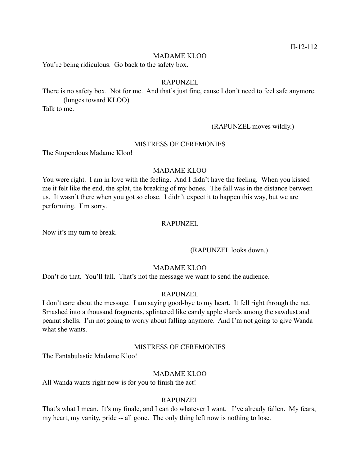### MADAME KLOO

You're being ridiculous. Go back to the safety box.

### RAPUNZEL

There is no safety box. Not for me. And that's just fine, cause I don't need to feel safe anymore. (lunges toward KLOO)

Talk to me.

# (RAPUNZEL moves wildly.)

### MISTRESS OF CEREMONIES

The Stupendous Madame Kloo!

# MADAME KLOO

You were right. I am in love with the feeling. And I didn't have the feeling. When you kissed me it felt like the end, the splat, the breaking of my bones. The fall was in the distance between us. It wasn't there when you got so close. I didn't expect it to happen this way, but we are performing. I'm sorry.

# RAPUNZEL

Now it's my turn to break.

### (RAPUNZEL looks down.)

### MADAME KLOO

Don't do that. You'll fall. That's not the message we want to send the audience.

# RAPUNZEL

I don't care about the message. I am saying good-bye to my heart. It fell right through the net. Smashed into a thousand fragments, splintered like candy apple shards among the sawdust and peanut shells. I'm not going to worry about falling anymore. And I'm not going to give Wanda what she wants

# MISTRESS OF CEREMONIES

The Fantabulastic Madame Kloo!

# MADAME KLOO

All Wanda wants right now is for you to finish the act!

# RAPUNZEL

That's what I mean. It's my finale, and I can do whatever I want. I've already fallen. My fears, my heart, my vanity, pride -- all gone. The only thing left now is nothing to lose.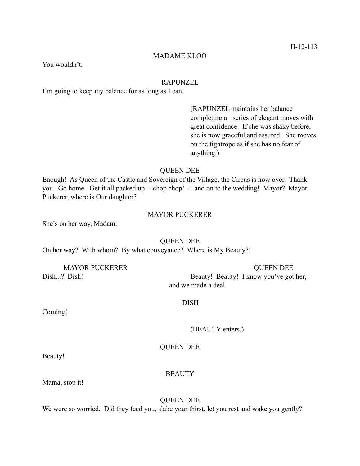# MADAME KLOO

You wouldn't.

### RAPUNZEL

I'm going to keep my balance for as long as I can.

 (RAPUNZEL maintains her balance completing a series of elegant moves with great confidence. If she was shaky before, she is now graceful and assured. She moves on the tightrope as if she has no fear of anything.)

### QUEEN DEE

Enough! As Queen of the Castle and Sovereign of the Village, the Circus is now over. Thank you. Go home. Get it all packed up -- chop chop! -- and on to the wedding! Mayor? Mayor Puckerer, where is Our daughter?

# MAYOR PUCKERER

She's on her way, Madam.

#### QUEEN DEE

On her way? With whom? By what conveyance? Where is My Beauty?!

MAYOR PUCKERER QUEEN DEE

Dish...? Dish! Beauty! Beauty! I know you've got her, and we made a deal.

# DISH

Coming!

(BEAUTY enters.)

# QUEEN DEE

Beauty!

# **BEAUTY**

Mama, stop it!

QUEEN DEE

We were so worried. Did they feed you, slake your thirst, let you rest and wake you gently?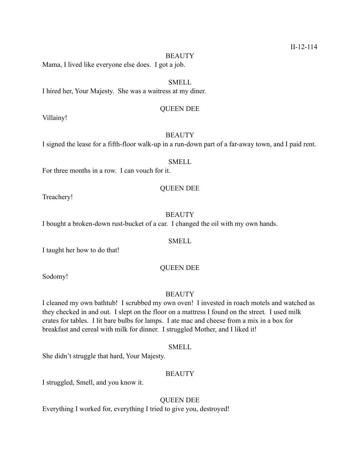#### **BEAUTY**

Mama, I lived like everyone else does. I got a job.

# SMELL

I hired her, Your Majesty. She was a waitress at my diner.

# QUEEN DEE

Villainy!

# **BEAUTY**

I signed the lease for a fifth-floor walk-up in a run-down part of a far-away town, and I paid rent.

### SMELL

For three months in a row. I can vouch for it.

#### QUEEN DEE

Treachery!

# **BEAUTY**

I bought a broken-down rust-bucket of a car. I changed the oil with my own hands.

#### SMELL

I taught her how to do that!

# QUEEN DEE

Sodomy!

# **BEAUTY**

I cleaned my own bathtub! I scrubbed my own oven! I invested in roach motels and watched as they checked in and out. I slept on the floor on a mattress I found on the street. I used milk crates for tables. I lit bare bulbs for lamps. I ate mac and cheese from a mix in a box for breakfast and cereal with milk for dinner. I struggled Mother, and I liked it!

# SMELL

She didn't struggle that hard, Your Majesty.

### **BEAUTY**

I struggled, Smell, and you know it.

# QUEEN DEE

Everything I worked for, everything I tried to give you, destroyed!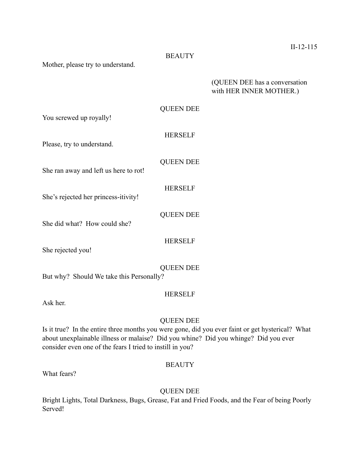# **BEAUTY**

Mother, please try to understand.

# (QUEEN DEE has a conversation with HER INNER MOTHER.)

# QUEEN DEE

You screwed up royally!

# HERSELF

QUEEN DEE

Please, try to understand.

She ran away and left us here to rot!

# HERSELF

QUEEN DEE

HERSELF

She's rejected her princess-itivity!

She did what? How could she?

She rejected you!

# QUEEN DEE

But why? Should We take this Personally?

# HERSELF

Ask her.

# QUEEN DEE

Is it true? In the entire three months you were gone, did you ever faint or get hysterical? What about unexplainable illness or malaise? Did you whine? Did you whinge? Did you ever consider even one of the fears I tried to instill in you?

# **BEAUTY**

What fears?

# QUEEN DEE

Bright Lights, Total Darkness, Bugs, Grease, Fat and Fried Foods, and the Fear of being Poorly Served!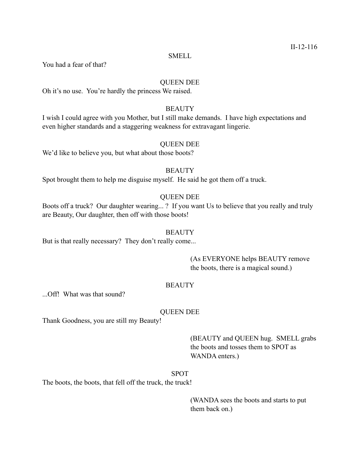#### SMELL

You had a fear of that?

# QUEEN DEE

Oh it's no use. You're hardly the princess We raised.

# **BEAUTY**

I wish I could agree with you Mother, but I still make demands. I have high expectations and even higher standards and a staggering weakness for extravagant lingerie.

# QUEEN DEE

We'd like to believe you, but what about those boots?

# **BEAUTY**

Spot brought them to help me disguise myself. He said he got them off a truck.

# QUEEN DEE

Boots off a truck? Our daughter wearing... ? If you want Us to believe that you really and truly are Beauty, Our daughter, then off with those boots!

#### **BEAUTY**

But is that really necessary? They don't really come...

 (As EVERYONE helps BEAUTY remove the boots, there is a magical sound.)

# **BEAUTY**

...Off! What was that sound?

# QUEEN DEE

Thank Goodness, you are still my Beauty!

 (BEAUTY and QUEEN hug. SMELL grabs the boots and tosses them to SPOT as WANDA enters.)

SPOT

The boots, the boots, that fell off the truck, the truck!

 (WANDA sees the boots and starts to put them back on.)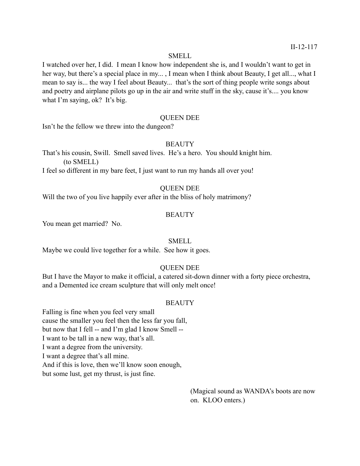### SMELL

I watched over her, I did. I mean I know how independent she is, and I wouldn't want to get in her way, but there's a special place in my... , I mean when I think about Beauty, I get all..., what I mean to say is... the way I feel about Beauty... that's the sort of thing people write songs about and poetry and airplane pilots go up in the air and write stuff in the sky, cause it's.... you know what I'm saying, ok? It's big.

# QUEEN DEE

Isn't he the fellow we threw into the dungeon?

### **BEAUTY**

That's his cousin, Swill. Smell saved lives. He's a hero. You should knight him. (to SMELL)

I feel so different in my bare feet, I just want to run my hands all over you!

# QUEEN DEE

Will the two of you live happily ever after in the bliss of holy matrimony?

# **BEAUTY**

You mean get married? No.

### SMELL

Maybe we could live together for a while. See how it goes.

# QUEEN DEE

But I have the Mayor to make it official, a catered sit-down dinner with a forty piece orchestra, and a Demented ice cream sculpture that will only melt once!

# **BEAUTY**

Falling is fine when you feel very small cause the smaller you feel then the less far you fall, but now that I fell -- and I'm glad I know Smell -- I want to be tall in a new way, that's all. I want a degree from the university. I want a degree that's all mine. And if this is love, then we'll know soon enough, but some lust, get my thrust, is just fine.

> (Magical sound as WANDA's boots are now on. KLOO enters.)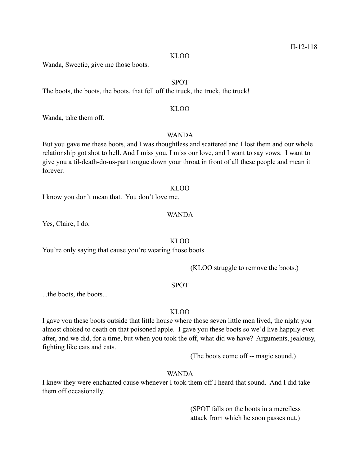KLOO

Wanda, Sweetie, give me those boots.

# SPOT

The boots, the boots, the boots, that fell off the truck, the truck, the truck!

#### KLOO

Wanda, take them off.

# WANDA

But you gave me these boots, and I was thoughtless and scattered and I lost them and our whole relationship got shot to hell. And I miss you, I miss our love, and I want to say vows. I want to give you a til-death-do-us-part tongue down your throat in front of all these people and mean it forever.

#### KLOO

I know you don't mean that. You don't love me.

# WANDA

Yes, Claire, I do.

KLOO

You're only saying that cause you're wearing those boots.

(KLOO struggle to remove the boots.)

### SPOT

...the boots, the boots...

# KLOO

I gave you these boots outside that little house where those seven little men lived, the night you almost choked to death on that poisoned apple. I gave you these boots so we'd live happily ever after, and we did, for a time, but when you took the off, what did we have? Arguments, jealousy, fighting like cats and cats.

(The boots come off -- magic sound.)

# WANDA

I knew they were enchanted cause whenever I took them off I heard that sound. And I did take them off occasionally.

> (SPOT falls on the boots in a merciless attack from which he soon passes out.)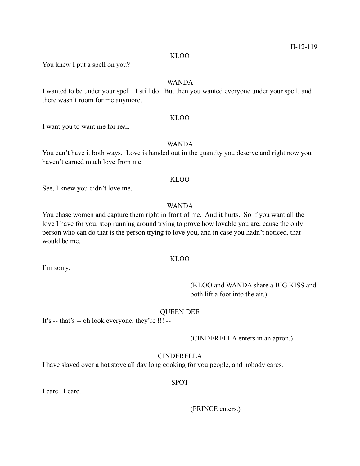#### KLOO

You knew I put a spell on you?

# WANDA

I wanted to be under your spell. I still do. But then you wanted everyone under your spell, and there wasn't room for me anymore.

# KLOO

I want you to want me for real.

# WANDA

You can't have it both ways. Love is handed out in the quantity you deserve and right now you haven't earned much love from me.

#### KLOO

See, I knew you didn't love me.

# WANDA

You chase women and capture them right in front of me. And it hurts. So if you want all the love I have for you, stop running around trying to prove how lovable you are, cause the only person who can do that is the person trying to love you, and in case you hadn't noticed, that would be me.

# KLOO

I'm sorry.

 (KLOO and WANDA share a BIG KISS and both lift a foot into the air.)

# QUEEN DEE

It's -- that's -- oh look everyone, they're !!! --

#### (CINDERELLA enters in an apron.)

# CINDERELLA

I have slaved over a hot stove all day long cooking for you people, and nobody cares.

# SPOT

I care. I care.

(PRINCE enters.)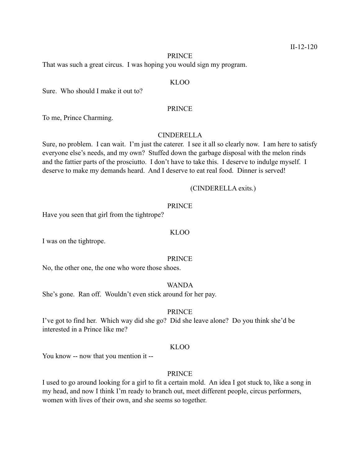#### PRINCE

That was such a great circus. I was hoping you would sign my program.

### KLOO

Sure. Who should I make it out to?

#### PRINCE

To me, Prince Charming.

### CINDERELLA

Sure, no problem. I can wait. I'm just the caterer. I see it all so clearly now. I am here to satisfy everyone else's needs, and my own? Stuffed down the garbage disposal with the melon rinds and the fattier parts of the prosciutto. I don't have to take this. I deserve to indulge myself. I deserve to make my demands heard. And I deserve to eat real food. Dinner is served!

### (CINDERELLA exits.)

### PRINCE

Have you seen that girl from the tightrope?

#### KLOO

I was on the tightrope.

#### PRINCE

No, the other one, the one who wore those shoes.

#### WANDA

She's gone. Ran off. Wouldn't even stick around for her pay.

# **PRINCE**

I've got to find her. Which way did she go? Did she leave alone? Do you think she'd be interested in a Prince like me?

### KLOO

You know -- now that you mention it --

# PRINCE

I used to go around looking for a girl to fit a certain mold. An idea I got stuck to, like a song in my head, and now I think I'm ready to branch out, meet different people, circus performers, women with lives of their own, and she seems so together.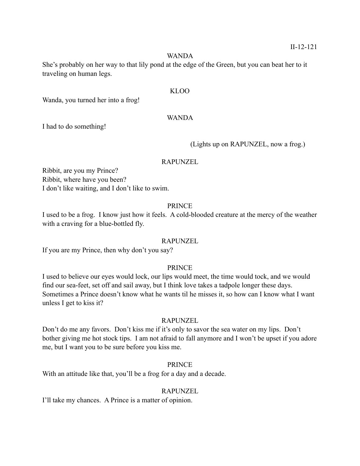### WANDA

She's probably on her way to that lily pond at the edge of the Green, but you can beat her to it traveling on human legs.

# KLOO

Wanda, you turned her into a frog!

# WANDA

I had to do something!

(Lights up on RAPUNZEL, now a frog.)

### RAPUNZEL

Ribbit, are you my Prince? Ribbit, where have you been? I don't like waiting, and I don't like to swim.

# PRINCE

I used to be a frog. I know just how it feels. A cold-blooded creature at the mercy of the weather with a craving for a blue-bottled fly.

# RAPUNZEL

If you are my Prince, then why don't you say?

# PRINCE

I used to believe our eyes would lock, our lips would meet, the time would tock, and we would find our sea-feet, set off and sail away, but I think love takes a tadpole longer these days. Sometimes a Prince doesn't know what he wants til he misses it, so how can I know what I want unless I get to kiss it?

# RAPUNZEL

Don't do me any favors. Don't kiss me if it's only to savor the sea water on my lips. Don't bother giving me hot stock tips. I am not afraid to fall anymore and I won't be upset if you adore me, but I want you to be sure before you kiss me.

# PRINCE

With an attitude like that, you'll be a frog for a day and a decade.

# RAPUNZEL

I'll take my chances. A Prince is a matter of opinion.